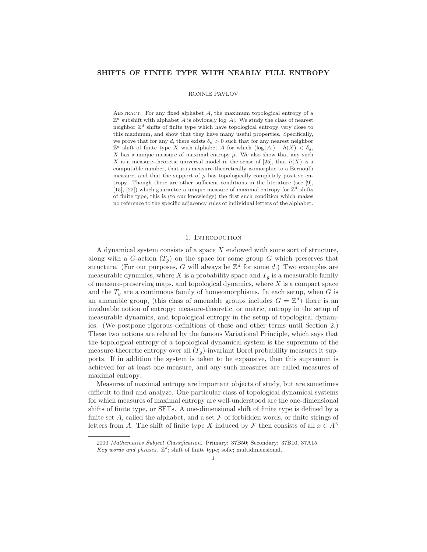## SHIFTS OF FINITE TYPE WITH NEARLY FULL ENTROPY

#### RONNIE PAVLOV

ABSTRACT. For any fixed alphabet  $A$ , the maximum topological entropy of a  $\mathbb{Z}^d$  subshift with alphabet A is obviously log |A|. We study the class of nearest neighbor  $\mathbb{Z}^d$  shifts of finite type which have topological entropy very close to this maximum, and show that they have many useful properties. Specifically, we prove that for any d, there exists  $\delta_d > 0$  such that for any nearest neighbor  $\mathbb{Z}^d$  shift of finite type X with alphabet A for which  $(\log |A|) - h(X) < \delta_d$ , X has a unique measure of maximal entropy  $\mu$ . We also show that any such X is a measure-theoretic universal model in the sense of [25], that  $h(X)$  is a computable number, that  $\mu$  is measure-theoretically isomorphic to a Bernoulli measure, and that the support of  $\mu$  has topologically completely positive entropy. Though there are other sufficient conditions in the literature (see [9], [15], [22]) which guarantee a unique measure of maximal entropy for  $\mathbb{Z}^d$  shifts of finite type, this is (to our knowledge) the first such condition which makes no reference to the specific adjacency rules of individual letters of the alphabet.

## 1. INTRODUCTION

A dynamical system consists of a space  $X$  endowed with some sort of structure, along with a G-action  $(T_q)$  on the space for some group G which preserves that structure. (For our purposes, G will always be  $\mathbb{Z}^d$  for some d.) Two examples are measurable dynamics, where X is a probability space and  $T<sub>g</sub>$  is a measurable family of measure-preserving maps, and topological dynamics, where  $X$  is a compact space and the  $T_q$  are a continuous family of homeomorphisms. In each setup, when G is an amenable group, (this class of amenable groups includes  $G = \mathbb{Z}^d$ ) there is an invaluable notion of entropy; measure-theoretic, or metric, entropy in the setup of measurable dynamics, and topological entropy in the setup of topological dynamics. (We postpone rigorous definitions of these and other terms until Section 2.) These two notions are related by the famous Variational Principle, which says that the topological entropy of a topological dynamical system is the supremum of the measure-theoretic entropy over all  $(T_q)$ -invariant Borel probability measures it supports. If in addition the system is taken to be expansive, then this supremum is achieved for at least one measure, and any such measures are called measures of maximal entropy.

Measures of maximal entropy are important objects of study, but are sometimes difficult to find and analyze. One particular class of topological dynamical systems for which measures of maximal entropy are well-understood are the one-dimensional shifts of finite type, or SFTs. A one-dimensional shift of finite type is defined by a finite set A, called the alphabet, and a set  $\mathcal F$  of forbidden words, or finite strings of letters from A. The shift of finite type X induced by F then consists of all  $x \in A^{\mathbb{Z}}$ 

<sup>2000</sup> Mathematics Subject Classification. Primary: 37B50; Secondary: 37B10, 37A15.

Key words and phrases.  $\mathbb{Z}^d$ ; shift of finite type; sofic; multidimensional.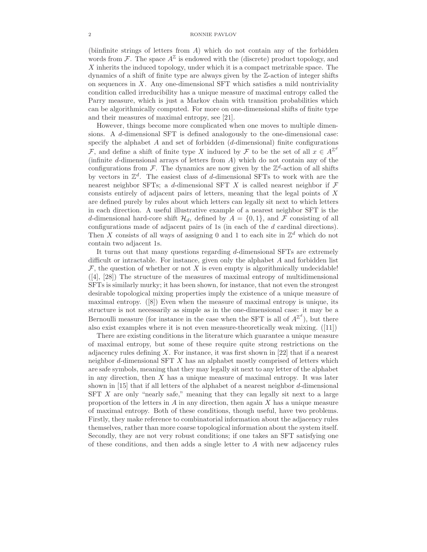### 2 RONNIE PAVLOV

(biinfinite strings of letters from  $A$ ) which do not contain any of the forbidden words from  $\mathcal{F}$ . The space  $A^{\mathbb{Z}}$  is endowed with the (discrete) product topology, and X inherits the induced topology, under which it is a compact metrizable space. The dynamics of a shift of finite type are always given by the Z-action of integer shifts on sequences in  $X$ . Any one-dimensional SFT which satisfies a mild nontriviality condition called irreducibility has a unique measure of maximal entropy called the Parry measure, which is just a Markov chain with transition probabilities which can be algorithmically computed. For more on one-dimensional shifts of finite type and their measures of maximal entropy, see [21].

However, things become more complicated when one moves to multiple dimensions. A d-dimensional SFT is defined analogously to the one-dimensional case: specify the alphabet  $A$  and set of forbidden (d-dimensional) finite configurations F, and define a shift of finite type X induced by F to be the set of all  $x \in A^{\mathbb{Z}^d}$ (infinite  $d$ -dimensional arrays of letters from  $A$ ) which do not contain any of the configurations from  $\mathcal{F}$ . The dynamics are now given by the  $\mathbb{Z}^d$ -action of all shifts by vectors in  $\mathbb{Z}^d$ . The easiest class of d-dimensional SFTs to work with are the nearest neighbor SFTs; a d-dimensional SFT X is called nearest neighbor if  $\mathcal F$ consists entirely of adjacent pairs of letters, meaning that the legal points of X are defined purely by rules about which letters can legally sit next to which letters in each direction. A useful illustrative example of a nearest neighbor SFT is the d-dimensional hard-core shift  $\mathcal{H}_d$ , defined by  $A = \{0, 1\}$ , and  $\mathcal F$  consisting of all configurations made of adjacent pairs of 1s (in each of the d cardinal directions). Then X consists of all ways of assigning 0 and 1 to each site in  $\mathbb{Z}^d$  which do not contain two adjacent 1s.

It turns out that many questions regarding d-dimensional SFTs are extremely difficult or intractable. For instance, given only the alphabet A and forbidden list  $\mathcal F$ , the question of whether or not X is even empty is algorithmically undecidable! ([4], [28]) The structure of the measures of maximal entropy of multidimensional SFTs is similarly murky; it has been shown, for instance, that not even the strongest desirable topological mixing properties imply the existence of a unique measure of maximal entropy. ([8]) Even when the measure of maximal entropy is unique, its structure is not necessarily as simple as in the one-dimensional case: it may be a Bernoulli measure (for instance in the case when the SFT is all of  $A^{\mathbb{Z}^d}$ ), but there also exist examples where it is not even measure-theoretically weak mixing. ([11])

There are existing conditions in the literature which guarantee a unique measure of maximal entropy, but some of these require quite strong restrictions on the adjacency rules defining  $X$ . For instance, it was first shown in [22] that if a nearest neighbor d-dimensional SFT X has an alphabet mostly comprised of letters which are safe symbols, meaning that they may legally sit next to any letter of the alphabet in any direction, then  $X$  has a unique measure of maximal entropy. It was later shown in [15] that if all letters of the alphabet of a nearest neighbor d-dimensional  $SFT X$  are only "nearly safe," meaning that they can legally sit next to a large proportion of the letters in  $A$  in any direction, then again  $X$  has a unique measure of maximal entropy. Both of these conditions, though useful, have two problems. Firstly, they make reference to combinatorial information about the adjacency rules themselves, rather than more coarse topological information about the system itself. Secondly, they are not very robust conditions; if one takes an SFT satisfying one of these conditions, and then adds a single letter to  $A$  with new adjacency rules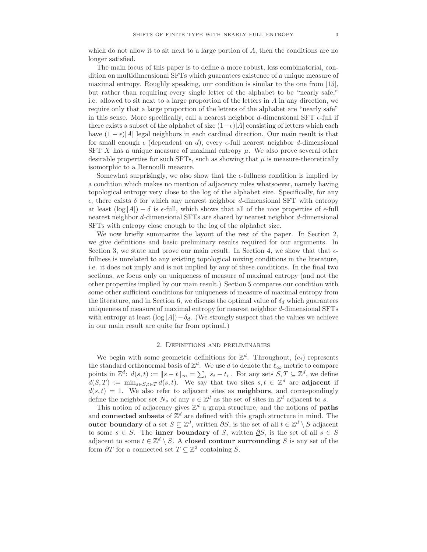which do not allow it to sit next to a large portion of  $A$ , then the conditions are no longer satisfied.

The main focus of this paper is to define a more robust, less combinatorial, condition on multidimensional SFTs which guarantees existence of a unique measure of maximal entropy. Roughly speaking, our condition is similar to the one from [15], but rather than requiring every single letter of the alphabet to be "nearly safe," i.e. allowed to sit next to a large proportion of the letters in  $A$  in any direction, we require only that a large proportion of the letters of the alphabet are "nearly safe" in this sense. More specifically, call a nearest neighbor d-dimensional SFT  $\epsilon$ -full if there exists a subset of the alphabet of size  $(1-\epsilon)|A|$  consisting of letters which each have  $(1 - \epsilon)|A|$  legal neighbors in each cardinal direction. Our main result is that for small enough  $\epsilon$  (dependent on d), every  $\epsilon$ -full nearest neighbor d-dimensional SFT X has a unique measure of maximal entropy  $\mu$ . We also prove several other desirable properties for such SFTs, such as showing that  $\mu$  is measure-theoretically isomorphic to a Bernoulli measure.

Somewhat surprisingly, we also show that the  $\epsilon$ -fullness condition is implied by a condition which makes no mention of adjacency rules whatsoever, namely having topological entropy very close to the log of the alphabet size. Specifically, for any  $\epsilon$ , there exists  $\delta$  for which any nearest neighbor d-dimensional SFT with entropy at least  $(\log |A|) - \delta$  is  $\epsilon$ -full, which shows that all of the nice properties of  $\epsilon$ -full nearest neighbor d-dimensional SFTs are shared by nearest neighbor d-dimensional SFTs with entropy close enough to the log of the alphabet size.

We now briefly summarize the layout of the rest of the paper. In Section 2, we give definitions and basic preliminary results required for our arguments. In Section 3, we state and prove our main result. In Section 4, we show that that  $\epsilon$ fullness is unrelated to any existing topological mixing conditions in the literature, i.e. it does not imply and is not implied by any of these conditions. In the final two sections, we focus only on uniqueness of measure of maximal entropy (and not the other properties implied by our main result.) Section 5 compares our condition with some other sufficient conditions for uniqueness of measure of maximal entropy from the literature, and in Section 6, we discuss the optimal value of  $\delta_d$  which guarantees uniqueness of measure of maximal entropy for nearest neighbor d-dimensional SFTs with entropy at least  $(\log |A|) - \delta_d$ . (We strongly suspect that the values we achieve in our main result are quite far from optimal.)

## 2. Definitions and preliminaries

We begin with some geometric definitions for  $\mathbb{Z}^d$ . Throughout,  $(e_i)$  represents the standard orthonormal basis of  $\mathbb{Z}^d$ . We use d to denote the  $\ell_{\infty}$  metric to compare points in  $\mathbb{Z}^d$ :  $d(s,t) := \|s-t\|_{\infty} = \sum_i |s_i - t_i|$ . For any sets  $S, T \subseteq \mathbb{Z}^d$ , we define  $d(S,T) := \min_{s \in S, t \in T} d(s,t)$ . We say that two sites  $s, t \in \mathbb{Z}^d$  are adjacent if  $d(s, t) = 1$ . We also refer to adjacent sites as **neighbors**, and correspondingly define the neighbor set  $N_s$  of any  $s \in \mathbb{Z}^d$  as the set of sites in  $\mathbb{Z}^d$  adjacent to s.

This notion of adjacency gives  $\mathbb{Z}^d$  a graph structure, and the notions of **paths** and connected subsets of  $\mathbb{Z}^d$  are defined with this graph structure in mind. The outer boundary of a set  $S \subseteq \mathbb{Z}^d$ , written  $\partial S$ , is the set of all  $t \in \mathbb{Z}^d \setminus S$  adjacent to some  $s \in S$ . The inner boundary of S, written  $\partial S$ , is the set of all  $s \in S$ adjacent to some  $t \in \mathbb{Z}^d \setminus S$ . A closed contour surrounding S is any set of the form  $\partial T$  for a connected set  $T \subseteq \mathbb{Z}^2$  containing S.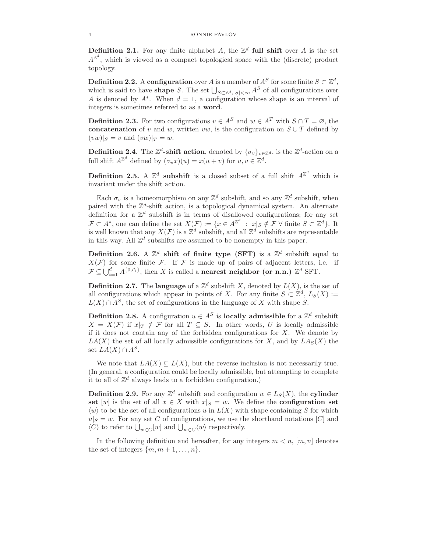**Definition 2.1.** For any finite alphabet A, the  $\mathbb{Z}^d$  full shift over A is the set  $A^{\mathbb{Z}^d}$ , which is viewed as a compact topological space with the (discrete) product topology.

**Definition 2.2.** A configuration over A is a member of  $A^S$  for some finite  $S \subset \mathbb{Z}^d$ , which is said to have **shape** S. The set  $\bigcup_{S \subset \mathbb{Z}^d, |S| < \infty} A^S$  of all configurations over A is denoted by  $A^*$ . When  $d = 1$ , a configuration whose shape is an interval of integers is sometimes referred to as a word.

**Definition 2.3.** For two configurations  $v \in A^S$  and  $w \in A^T$  with  $S \cap T = \emptyset$ , the concatenation of v and w, written vw, is the configuration on  $S \cup T$  defined by  $(vw)|_S = v$  and  $(vw)|_T = w$ .

**Definition 2.4.** The  $\mathbb{Z}^d$ -shift action, denoted by  $\{\sigma_v\}_{v\in\mathbb{Z}^d}$ , is the  $\mathbb{Z}^d$ -action on a full shift  $A^{\mathbb{Z}^d}$  defined by  $(\sigma_v x)(u) = x(u+v)$  for  $u, v \in \mathbb{Z}^d$ .

**Definition 2.5.** A  $\mathbb{Z}^d$  subshift is a closed subset of a full shift  $A^{\mathbb{Z}^d}$  which is invariant under the shift action.

Each  $\sigma_v$  is a homeomorphism on any  $\mathbb{Z}^d$  subshift, and so any  $\mathbb{Z}^d$  subshift, when paired with the  $\mathbb{Z}^d$ -shift action, is a topological dynamical system. An alternate definition for a  $\mathbb{Z}^d$  subshift is in terms of disallowed configurations; for any set  $\mathcal{F} \subset A^*$ , one can define the set  $X(\mathcal{F}) := \{x \in A^{\mathbb{Z}^d} : x|_S \notin \mathcal{F} \ \forall \text{ finite } S \subset \mathbb{Z}^d\}.$  It is well known that any  $X(\mathcal{F})$  is a  $\mathbb{Z}^d$  subshift, and all  $\mathbb{Z}^d$  subshifts are representable in this way. All  $\mathbb{Z}^d$  subshifts are assumed to be nonempty in this paper.

Definition 2.6. A  $\mathbb{Z}^d$  shift of finite type (SFT) is a  $\mathbb{Z}^d$  subshift equal to  $X(\mathcal{F})$  for some finite  $\mathcal{F}$ . If  $\mathcal{F}$  is made up of pairs of adjacent letters, i.e. if  $\mathcal{F} \subseteq \bigcup_{i=1}^d A^{\{0,\vec{e}_i\}}$ , then X is called a **nearest neighbor (or n.n.)**  $\mathbb{Z}^d$  SFT.

**Definition 2.7.** The language of a  $\mathbb{Z}^d$  subshift X, denoted by  $L(X)$ , is the set of all configurations which appear in points of X. For any finite  $S \subset \mathbb{Z}^d$ ,  $L_S(X) :=$  $L(X) \cap A^S$ , the set of configurations in the language of X with shape S.

**Definition 2.8.** A configuration  $u \in A^S$  is **locally admissible** for a  $\mathbb{Z}^d$  subshift  $X = X(F)$  if  $x|_T \notin F$  for all  $T \subseteq S$ . In other words, U is locally admissible if it does not contain any of the forbidden configurations for  $X$ . We denote by  $LA(X)$  the set of all locally admissible configurations for X, and by  $LA_S(X)$  the set  $LA(X) \cap A^S$ .

We note that  $LA(X) \subseteq L(X)$ , but the reverse inclusion is not necessarily true. (In general, a configuration could be locally admissible, but attempting to complete it to all of  $\mathbb{Z}^d$  always leads to a forbidden configuration.)

**Definition 2.9.** For any  $\mathbb{Z}^d$  subshift and configuration  $w \in L_S(X)$ , the **cylinder** set [w] is the set of all  $x \in X$  with  $x|_S = w$ . We define the **configuration set**  $\langle w \rangle$  to be the set of all configurations u in  $L(X)$  with shape containing S for which  $u|_S = w$ . For any set C of configurations, we use the shorthand notations [C] and  $\langle C \rangle$  to refer to  $\bigcup_{w \in C} [w]$  and  $\bigcup_{w \in C} \langle w \rangle$  respectively.

In the following definition and hereafter, for any integers  $m < n$ ,  $[m, n]$  denotes the set of integers  $\{m, m+1, \ldots, n\}.$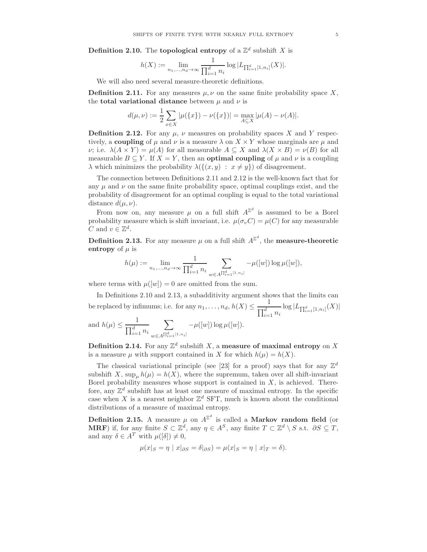**Definition 2.10.** The **topological entropy** of a  $\mathbb{Z}^d$  subshift X is

$$
h(X) := \lim_{n_1, \dots, n_d \to \infty} \frac{1}{\prod_{i=1}^d n_i} \log |L_{\prod_{i=1}^d [1, n_i]}(X)|.
$$

We will also need several measure-theoretic definitions.

**Definition 2.11.** For any measures  $\mu, \nu$  on the same finite probability space X, the **total variational distance** between  $\mu$  and  $\nu$  is

$$
d(\mu, \nu) := \frac{1}{2} \sum_{x \in X} |\mu(\{x\}) - \nu(\{x\})| = \max_{A \subseteq X} |\mu(A) - \nu(A)|.
$$

**Definition 2.12.** For any  $\mu$ ,  $\nu$  measures on probability spaces X and Y respectively, a coupling of  $\mu$  and  $\nu$  is a measure  $\lambda$  on  $X \times Y$  whose marginals are  $\mu$  and  $\nu$ ; i.e.  $\lambda(A \times Y) = \mu(A)$  for all measurable  $A \subseteq X$  and  $\lambda(X \times B) = \nu(B)$  for all measurable  $B \subseteq Y$ . If  $X = Y$ , then an **optimal coupling** of  $\mu$  and  $\nu$  is a coupling  $\lambda$  which minimizes the probability  $\lambda({(x,y) : x \neq y})$  of disagreement.

The connection between Definitions 2.11 and 2.12 is the well-known fact that for any  $\mu$  and  $\nu$  on the same finite probability space, optimal couplings exist, and the probability of disagreement for an optimal coupling is equal to the total variational distance  $d(\mu, \nu)$ .

From now on, any measure  $\mu$  on a full shift  $A^{\mathbb{Z}^d}$  is assumed to be a Borel probability measure which is shift invariant, i.e.  $\mu(\sigma_v C) = \mu(C)$  for any measurable C and  $v \in \mathbb{Z}^d$ .

**Definition 2.13.** For any measure  $\mu$  on a full shift  $A^{\mathbb{Z}^d}$ , the **measure-theoretic** entropy of  $\mu$  is

$$
h(\mu) := \lim_{n_1, \dots, n_d \to \infty} \frac{1}{\prod_{i=1}^d n_i} \sum_{w \in A^{\prod_{i=1}^d [1, n_i]}} -\mu([w]) \log \mu([w]),
$$

where terms with  $\mu([w]) = 0$  are omitted from the sum.

In Definitions 2.10 and 2.13, a subadditivity argument shows that the limits can be replaced by infimums; i.e. for any  $n_1, \ldots, n_d, h(X) \leq \frac{1}{\prod^d}$  $\frac{1}{\prod_{i=1}^d n_i} \log |L_{\prod_{i=1}^d [1,n_i]}(X)|$ and  $h(\mu) \leq \frac{1}{\Box^d}$  $\prod_{i=1}^d n_i$  $\sqrt{ }$  $\sum_{w \in A^{\prod_{i=1}^{d}[1,n_i]}} -\mu([w]) \log \mu([w]).$ 

**Definition 2.14.** For any  $\mathbb{Z}^d$  subshift X, a measure of maximal entropy on X is a measure  $\mu$  with support contained in X for which  $h(\mu) = h(X)$ .

The classical variational principle (see [23] for a proof) says that for any  $\mathbb{Z}^d$ subshift X, sup<sub>u</sub>  $h(\mu) = h(X)$ , where the supremum, taken over all shift-invariant Borel probability measures whose support is contained in  $X$ , is achieved. Therefore, any  $\mathbb{Z}^d$  subshift has at least one measure of maximal entropy. In the specific case when X is a nearest neighbor  $\mathbb{Z}^d$  SFT, much is known about the conditional distributions of a measure of maximal entropy.

**Definition 2.15.** A measure  $\mu$  on  $A^{\mathbb{Z}^d}$  is called a **Markov random field** (or **MRF**) if, for any finite  $S \subset \mathbb{Z}^d$ , any  $\eta \in A^S$ , any finite  $T \subset \mathbb{Z}^d \setminus S$  s.t.  $\partial S \subseteq T$ , and any  $\delta \in A^T$  with  $\mu([\delta]) \neq 0$ ,

$$
\mu(x|_{S} = \eta \mid x|_{\partial S} = \delta|_{\partial S}) = \mu(x|_{S} = \eta \mid x|_{T} = \delta).
$$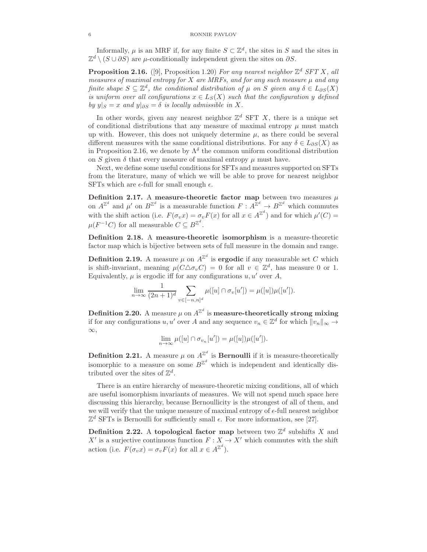Informally,  $\mu$  is an MRF if, for any finite  $S \subset \mathbb{Z}^d$ , the sites in S and the sites in  $\mathbb{Z}^d \setminus (S \cup \partial S)$  are  $\mu$ -conditionally independent given the sites on  $\partial S$ .

**Proposition 2.16.** ([9], Proposition 1.20) For any nearest neighbor  $\mathbb{Z}^d$  SFT X, all measures of maximal entropy for  $X$  are MRFs, and for any such measure  $\mu$  and any finite shape  $S \subseteq \mathbb{Z}^d$ , the conditional distribution of  $\mu$  on S given any  $\delta \in L_{\partial S}(X)$ is uniform over all configurations  $x \in L_S(X)$  such that the configuration y defined by  $y|S = x$  and  $y|S = \delta$  is locally admissible in X.

In other words, given any nearest neighbor  $\mathbb{Z}^d$  SFT X, there is a unique set of conditional distributions that any measure of maximal entropy  $\mu$  must match up with. However, this does not uniquely determine  $\mu$ , as there could be several different measures with the same conditional distributions. For any  $\delta \in L_{\partial S}(X)$  as in Proposition 2.16, we denote by  $\Lambda^{\delta}$  the common uniform conditional distribution on S given  $\delta$  that every measure of maximal entropy  $\mu$  must have.

Next, we define some useful conditions for SFTs and measures supported on SFTs from the literature, many of which we will be able to prove for nearest neighbor SFTs which are  $\epsilon$ -full for small enough  $\epsilon$ .

Definition 2.17. A measure-theoretic factor map between two measures  $\mu$ on  $A^{\mathbb{Z}^d}$  and  $\mu'$  on  $B^{\mathbb{Z}^d}$  is a measurable function  $F: A^{\mathbb{Z}^d} \to B^{\mathbb{Z}^d}$  which commutes with the shift action (i.e.  $F(\sigma_v x) = \sigma_v F(x)$  for all  $x \in A^{\mathbb{Z}^d}$ ) and for which  $\mu'(C) =$  $\mu(F^{-1}C)$  for all measurable  $C \subseteq B^{\mathbb{Z}^d}$ .

Definition 2.18. A measure-theoretic isomorphism is a measure-theoretic factor map which is bijective between sets of full measure in the domain and range.

**Definition 2.19.** A measure  $\mu$  on  $A^{\mathbb{Z}^d}$  is **ergodic** if any measurable set C which is shift-invariant, meaning  $\mu(C\Delta\sigma_vC) = 0$  for all  $v \in \mathbb{Z}^d$ , has measure 0 or 1. Equivalently,  $\mu$  is ergodic iff for any configurations  $u, u'$  over A,

$$
\lim_{n \to \infty} \frac{1}{(2n+1)^d} \sum_{v \in [-n,n]^d} \mu([u] \cap \sigma_v[u']) = \mu([u]) \mu([u']).
$$

Definition 2.20. A measure  $\mu$  on  $A^{\mathbb{Z}^d}$  is measure-theoretically strong mixing if for any configurations  $u, u'$  over A and any sequence  $v_n \in \mathbb{Z}^d$  for which  $||v_n||_{\infty} \to$ ∞,

$$
\lim_{n \to \infty} \mu([u] \cap \sigma_{v_n}[u']) = \mu([u]) \mu([u']).
$$

**Definition 2.21.** A measure  $\mu$  on  $A^{\mathbb{Z}^d}$  is **Bernoulli** if it is measure-theoretically isomorphic to a measure on some  $B^{\mathbb{Z}^d}$  which is independent and identically distributed over the sites of  $\mathbb{Z}^d$ .

There is an entire hierarchy of measure-theoretic mixing conditions, all of which are useful isomorphism invariants of measures. We will not spend much space here discussing this hierarchy, because Bernoullicity is the strongest of all of them, and we will verify that the unique measure of maximal entropy of  $\epsilon$ -full nearest neighbor  $\mathbb{Z}^d$  SFTs is Bernoulli for sufficiently small  $\epsilon$ . For more information, see [27].

**Definition 2.22.** A topological factor map between two  $\mathbb{Z}^d$  subshifts X and X' is a surjective continuous function  $F : X \to X'$  which commutes with the shift action (i.e.  $F(\sigma_v x) = \sigma_v F(x)$  for all  $x \in A^{\mathbb{Z}^d}$ ).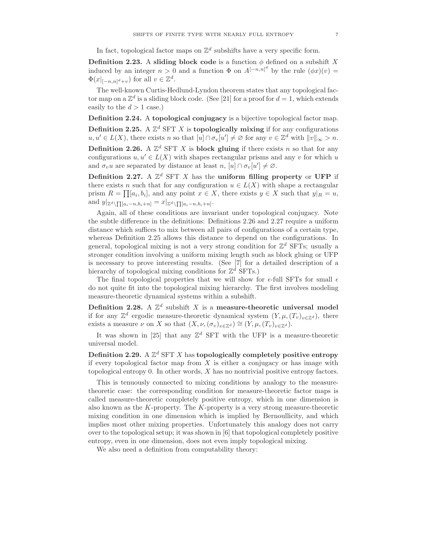In fact, topological factor maps on  $\mathbb{Z}^d$  subshifts have a very specific form.

**Definition 2.23.** A sliding block code is a function  $\phi$  defined on a subshift X induced by an integer  $n > 0$  and a function  $\Phi$  on  $A^{[-n,n]^d}$  by the rule  $(\phi x)(v) =$  $\Phi(x|_{[-n,n]^d+v})$  for all  $v \in \mathbb{Z}^d$ .

The well-known Curtis-Hedlund-Lyndon theorem states that any topological factor map on a  $\mathbb{Z}^d$  is a sliding block code. (See [21] for a proof for  $d = 1$ , which extends easily to the  $d > 1$  case.)

Definition 2.24. A topological conjugacy is a bijective topological factor map. Definition 2.25. A  $\mathbb{Z}^d$  SFT X is topologically mixing if for any configurations  $u, u' \in L(X)$ , there exists n so that  $[u] \cap \sigma_v[u'] \neq \varnothing$  for any  $v \in \mathbb{Z}^d$  with  $||v||_{\infty} > n$ . **Definition 2.26.** A  $\mathbb{Z}^d$  SFT X is **block gluing** if there exists n so that for any

configurations  $u, u' \in L(X)$  with shapes rectangular prisms and any v for which u and  $\sigma_v u$  are separated by distance at least  $n, [u] \cap \sigma_v[u'] \neq \emptyset$ .

Definition 2.27. A  $\mathbb{Z}^d$  SFT X has the uniform filling property or UFP if there exists n such that for any configuration  $u \in L(X)$  with shape a rectangular prism  $R = \prod [a_i, b_i]$ , and any point  $x \in X$ , there exists  $y \in X$  such that  $y|_R = u$ , and  $y|_{\mathbb{Z}^d \setminus \prod [a_i-n, b_i+n]} = x|_{\mathbb{Z}^d \setminus \prod [a_i-n, b_i+n]}$ .

Again, all of these conditions are invariant under topological conjugacy. Note the subtle difference in the definitions: Definitions 2.26 and 2.27 require a uniform distance which suffices to mix between all pairs of configurations of a certain type, whereas Definition 2.25 allows this distance to depend on the configurations. In general, topological mixing is not a very strong condition for  $\mathbb{Z}^d$  SFTs; usually a stronger condition involving a uniform mixing length such as block gluing or UFP is necessary to prove interesting results. (See [7] for a detailed description of a hierarchy of topological mixing conditions for  $\mathbb{Z}^d$  SFTs.)

The final topological properties that we will show for  $\epsilon$ -full SFTs for small  $\epsilon$ do not quite fit into the topological mixing hierarchy. The first involves modeling measure-theoretic dynamical systems within a subshift.

Definition 2.28. A  $\mathbb{Z}^d$  subshift X is a measure-theoretic universal model if for any  $\mathbb{Z}^d$  ergodic measure-theoretic dynamical system  $(Y, \mu, (T_v)_{v \in \mathbb{Z}^d})$ , there exists a measure  $\nu$  on X so that  $(X, \nu, (\sigma_v)_{v \in \mathbb{Z}^d}) \cong (Y, \mu, (T_v)_{v \in \mathbb{Z}^d}).$ 

It was shown in [25] that any  $\mathbb{Z}^d$  SFT with the UFP is a measure-theoretic universal model.

Definition 2.29. A  $\mathbb{Z}^d$  SFT X has topologically completely positive entropy if every topological factor map from  $X$  is either a conjugacy or has image with topological entropy 0. In other words, X has no nontrivial positive entropy factors.

This is tenuously connected to mixing conditions by analogy to the measuretheoretic case: the corresponding condition for measure-theoretic factor maps is called measure-theoretic completely positive entropy, which in one dimension is also known as the K-property. The K-property is a very strong measure-theoretic mixing condition in one dimension which is implied by Bernoullicity, and which implies most other mixing properties. Unfortunately this analogy does not carry over to the topological setup; it was shown in [6] that topological completely positive entropy, even in one dimension, does not even imply topological mixing.

We also need a definition from computability theory: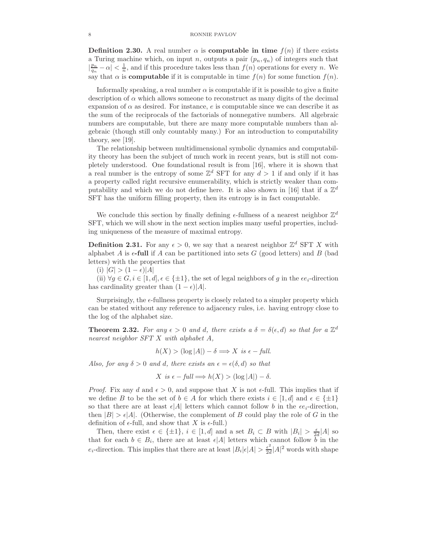**Definition 2.30.** A real number  $\alpha$  is **computable in time**  $f(n)$  if there exists a Turing machine which, on input n, outputs a pair  $(p_n, q_n)$  of integers such that  $\left|\frac{p_n}{q_n}-\alpha\right| < \frac{1}{n}$ , and if this procedure takes less than  $f(n)$  operations for every n. We say that  $\alpha$  is **computable** if it is computable in time  $f(n)$  for some function  $f(n)$ .

Informally speaking, a real number  $\alpha$  is computable if it is possible to give a finite description of  $\alpha$  which allows someone to reconstruct as many digits of the decimal expansion of  $\alpha$  as desired. For instance, e is computable since we can describe it as the sum of the reciprocals of the factorials of nonnegative numbers. All algebraic numbers are computable, but there are many more computable numbers than algebraic (though still only countably many.) For an introduction to computability theory, see [19].

The relationship between multidimensional symbolic dynamics and computability theory has been the subject of much work in recent years, but is still not completely understood. One foundational result is from [16], where it is shown that a real number is the entropy of some  $\mathbb{Z}^d$  SFT for any  $d > 1$  if and only if it has a property called right recursive enumerability, which is strictly weaker than computability and which we do not define here. It is also shown in [16] that if a  $\mathbb{Z}^d$ SFT has the uniform filling property, then its entropy is in fact computable.

We conclude this section by finally defining  $\epsilon$ -fullness of a nearest neighbor  $\mathbb{Z}^d$ SFT, which we will show in the next section implies many useful properties, including uniqueness of the measure of maximal entropy.

**Definition 2.31.** For any  $\epsilon > 0$ , we say that a nearest neighbor  $\mathbb{Z}^d$  SFT X with alphabet A is  $\epsilon$ -full if A can be partitioned into sets G (good letters) and B (bad letters) with the properties that

(i)  $|G| > (1 - \epsilon)|A|$ 

(ii)  $\forall g \in G, i \in [1, d], \epsilon \in {\pm 1}$ , the set of legal neighbors of g in the  $\epsilon e_i$ -direction has cardinality greater than  $(1 - \epsilon)|A|$ .

Surprisingly, the  $\epsilon$ -fullness property is closely related to a simpler property which can be stated without any reference to adjacency rules, i.e. having entropy close to the log of the alphabet size.

**Theorem 2.32.** For any  $\epsilon > 0$  and d, there exists a  $\delta = \delta(\epsilon, d)$  so that for a  $\mathbb{Z}^d$ nearest neighbor SFT X with alphabet A,

$$
h(X) > (\log |A|) - \delta \Longrightarrow X \text{ is } \epsilon - \text{full}.
$$

Also, for any  $\delta > 0$  and d, there exists an  $\epsilon = \epsilon(\delta, d)$  so that

$$
X \text{ is } \epsilon - full \Longrightarrow h(X) > (\log |A|) - \delta.
$$

*Proof.* Fix any d and  $\epsilon > 0$ , and suppose that X is not  $\epsilon$ -full. This implies that if we define B to be the set of  $b \in A$  for which there exists  $i \in [1, d]$  and  $\epsilon \in {\pm 1}$ so that there are at least  $\epsilon |A|$  letters which cannot follow b in the  $\epsilon e_i$ -direction, then  $|B| > \epsilon |A|$ . (Otherwise, the complement of B could play the role of G in the definition of  $\epsilon$ -full, and show that X is  $\epsilon$ -full.)

Then, there exist  $\epsilon \in {\pm 1}$ ,  $i \in [1, d]$  and a set  $B_i \subset B$  with  $|B_i| > \frac{\epsilon}{2d}|A|$  so that for each  $b \in B_i$ , there are at least  $\epsilon |A|$  letters which cannot follow b in the  $e_i$ -direction. This implies that there are at least  $|B_i|\epsilon|A| > \frac{\epsilon^2}{2d}$  $\frac{\epsilon^2}{2d}$ |A|<sup>2</sup> words with shape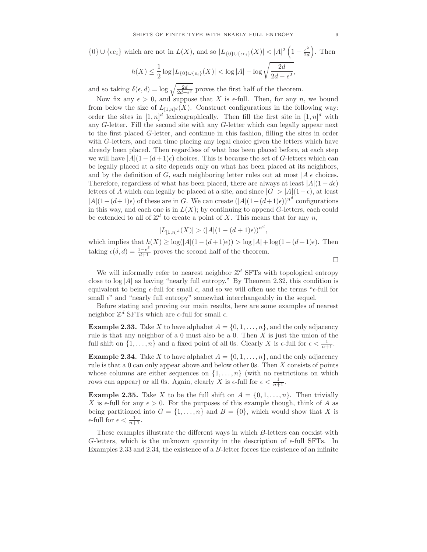$$
\{0\} \cup \{\epsilon e_i\} \text{ which are not in } L(X), \text{ and so } |L_{\{0\} \cup \{\epsilon e_i\}}(X)| < |A|^2 \left(1 - \frac{\epsilon^2}{2d}\right). \text{ Then}
$$
\n
$$
h(X) \le \frac{1}{2} \log |L_{\{0\} \cup \{\epsilon_i\}}(X)| < \log |A| - \log \sqrt{\frac{2d}{2d - \epsilon^2}},
$$

and so taking  $\delta(\epsilon, d) = \log \sqrt{\frac{2d}{2d-\epsilon^2}}$  proves the first half of the theorem.

Now fix any  $\epsilon > 0$ , and suppose that X is  $\epsilon$ -full. Then, for any n, we bound from below the size of  $L_{[1,n]^d}(X)$ . Construct configurations in the following way: order the sites in  $[1,n]^d$  lexicographically. Then fill the first site in  $[1,n]^d$  with any G-letter. Fill the second site with any G-letter which can legally appear next to the first placed G-letter, and continue in this fashion, filling the sites in order with G-letters, and each time placing any legal choice given the letters which have already been placed. Then regardless of what has been placed before, at each step we will have  $|A|(1-(d+1)\epsilon)$  choices. This is because the set of G-letters which can be legally placed at a site depends only on what has been placed at its neighbors, and by the definition of G, each neighboring letter rules out at most  $|A|\epsilon$  choices. Therefore, regardless of what has been placed, there are always at least  $|A|(1 - d\epsilon)$ letters of A which can legally be placed at a site, and since  $|G| > |A|(1-\epsilon)$ , at least  $|A|(1-(d+1)\epsilon)$  of these are in G. We can create  $(|A|(1-(d+1)\epsilon))^{n^d}$  configurations in this way, and each one is in  $L(X)$ ; by continuing to append G-letters, each could be extended to all of  $\mathbb{Z}^d$  to create a point of X. This means that for any n,

$$
|L_{[1,n]^d}(X)| > (|A|(1-(d+1)\epsilon))^{n^d},
$$

which implies that  $h(X) \geq \log(|A|(1-(d+1)\epsilon)) > \log|A| + \log(1-(d+1)\epsilon)$ . Then taking  $\epsilon(\delta, d) = \frac{1-e^{\delta}}{d+1}$  proves the second half of the theorem.

 $\Box$ 

We will informally refer to nearest neighbor  $\mathbb{Z}^d$  SFTs with topological entropy close to  $\log|A|$  as having "nearly full entropy." By Theorem 2.32, this condition is equivalent to being  $\epsilon$ -full for small  $\epsilon$ , and so we will often use the terms " $\epsilon$ -full for small  $\epsilon$ " and "nearly full entropy" somewhat interchangeably in the sequel.

Before stating and proving our main results, here are some examples of nearest neighbor  $\mathbb{Z}^d$  SFTs which are  $\epsilon$ -full for small  $\epsilon$ .

**Example 2.33.** Take X to have alphabet  $A = \{0, 1, \ldots, n\}$ , and the only adjacency rule is that any neighbor of a 0 must also be a 0. Then  $X$  is just the union of the full shift on  $\{1, \ldots, n\}$  and a fixed point of all 0s. Clearly X is  $\epsilon$ -full for  $\epsilon < \frac{1}{n+1}$ .

**Example 2.34.** Take X to have alphabet  $A = \{0, 1, \ldots, n\}$ , and the only adjacency rule is that a  $0$  can only appear above and below other 0s. Then  $X$  consists of points whose columns are either sequences on  $\{1, \ldots, n\}$  (with no restrictions on which rows can appear) or all 0s. Again, clearly X is  $\epsilon$ -full for  $\epsilon < \frac{1}{n+1}$ .

**Example 2.35.** Take X to be the full shift on  $A = \{0, 1, \ldots, n\}$ . Then trivially X is  $\epsilon$ -full for any  $\epsilon > 0$ . For the purposes of this example though, think of A as being partitioned into  $G = \{1, \ldots, n\}$  and  $B = \{0\}$ , which would show that X is  $\epsilon$ -full for  $\epsilon < \frac{1}{n+1}$ .

These examples illustrate the different ways in which B-letters can coexist with G-letters, which is the unknown quantity in the description of  $\epsilon$ -full SFTs. In Examples 2.33 and 2.34, the existence of a B-letter forces the existence of an infinite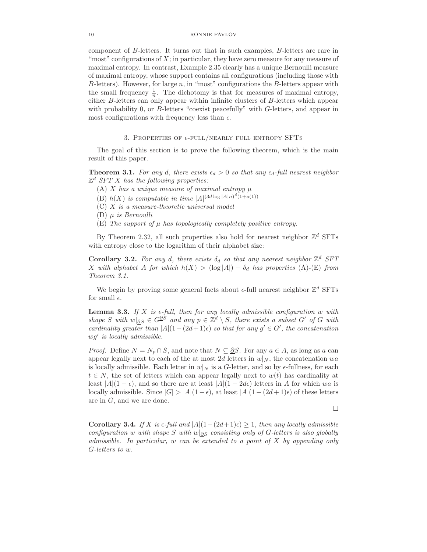component of B-letters. It turns out that in such examples, B-letters are rare in "most" configurations of  $X$ ; in particular, they have zero measure for any measure of maximal entropy. In contrast, Example 2.35 clearly has a unique Bernoulli measure of maximal entropy, whose support contains all configurations (including those with B-letters). However, for large  $n$ , in "most" configurations the B-letters appear with the small frequency  $\frac{1}{n}$ . The dichotomy is that for measures of maximal entropy, either B-letters can only appear within infinite clusters of B-letters which appear with probability 0, or B-letters "coexist peacefully" with G-letters, and appear in most configurations with frequency less than  $\epsilon$ .

## 3. PROPERTIES OF  $\epsilon$ -FULL/NEARLY FULL ENTROPY SFTS

The goal of this section is to prove the following theorem, which is the main result of this paper.

**Theorem 3.1.** For any d, there exists  $\epsilon_d > 0$  so that any  $\epsilon_d$ -full nearest neighbor  $\mathbb{Z}^d$  SFT X has the following properties:

- (A) X has a unique measure of maximal entropy  $\mu$
- (B)  $h(X)$  is computable in time  $|A|^{(3d \log |A|n)^d(1+o(1))}$
- (C) X is a measure-theoretic universal model
- (D)  $\mu$  is Bernoulli
- $(E)$  The support of  $\mu$  has topologically completely positive entropy.

By Theorem 2.32, all such properties also hold for nearest neighbor  $\mathbb{Z}^d$  SFTs with entropy close to the logarithm of their alphabet size:

Corollary 3.2. For any d, there exists  $\delta_d$  so that any nearest neighbor  $\mathbb{Z}^d$  SFT X with alphabet A for which  $h(X) > (\log |A|) - \delta_d$  has properties (A)-(E) from Theorem 3.1.

We begin by proving some general facts about  $\epsilon$ -full nearest neighbor  $\mathbb{Z}^d$  SFTs for small  $\epsilon$ .

**Lemma 3.3.** If X is  $\epsilon$ -full, then for any locally admissible configuration w with shape S with  $w|_{\partial S} \in G^{\partial S}$  and any  $p \in \mathbb{Z}^d \setminus S$ , there exists a subset G' of G with cardinality greater than  $|A|(1-(2d+1)\epsilon)$  so that for any  $g' \in G'$ , the concatenation  $wg'$  is locally admissible.

*Proof.* Define  $N = N_p \cap S$ , and note that  $N \subseteq \partial S$ . For any  $a \in A$ , as long as a can appear legally next to each of the at most 2d letters in  $w|_N$ , the concatenation wa is locally admissible. Each letter in  $w|_N$  is a G-letter, and so by  $\epsilon$ -fullness, for each  $t \in N$ , the set of letters which can appear legally next to  $w(t)$  has cardinality at least  $|A|(1-\epsilon)$ , and so there are at least  $|A|(1-2d\epsilon)$  letters in A for which wa is locally admissible. Since  $|G| > |A|(1 - \epsilon)$ , at least  $|A|(1 - (2d + 1)\epsilon)$  of these letters are in G, and we are done.

 $\Box$ 

Corollary 3.4. If X is  $\epsilon$ -full and  $|A|(1-(2d+1)\epsilon) \geq 1$ , then any locally admissible configuration w with shape S with w| $\partial S$  consisting only of G-letters is also globally admissible. In particular, w can be extended to a point of X by appending only G-letters to w.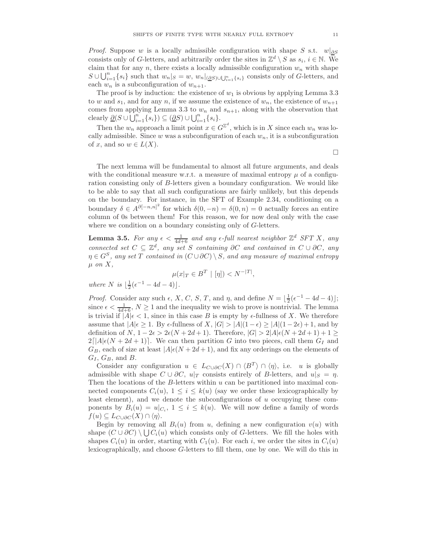*Proof.* Suppose w is a locally admissible configuration with shape S s.t.  $w|_{\partial S}$ consists only of G-letters, and arbitrarily order the sites in  $\mathbb{Z}^d \setminus S$  as  $s_i, i \in \mathbb{N}$ . We claim that for any n, there exists a locally admissible configuration  $w_n$  with shape  $S \cup \bigcup_{i=1}^n \{s_i\}$  such that  $w_n|_S = w$ ,  $w_n|_{(\underline{\partial}S) \cup \bigcup_{i=1}^n \{s_i\}}$  consists only of G-letters, and each  $w_n$  is a subconfiguration of  $w_{n+1}$ .

The proof is by induction: the existence of  $w_1$  is obvious by applying Lemma 3.3 to w and  $s_1$ , and for any n, if we assume the existence of  $w_n$ , the existence of  $w_{n+1}$ comes from applying Lemma 3.3 to  $w_n$  and  $s_{n+1}$ , along with the observation that clearly  $\underline{\partial}(S \cup \overline{\bigcup_{i=1}^{n} \{s_i\}}) \subseteq (\underline{\partial}S) \cup \bigcup_{i=1}^{n} \{s_i\}.$ 

Then the  $w_n$  approach a limit point  $x \in G^{\mathbb{Z}^d}$ , which is in X since each  $w_n$  was locally admissible. Since w was a subconfiguration of each  $w_n$ , it is a subconfiguration of x, and so  $w \in L(X)$ .

 $\Box$ 

The next lemma will be fundamental to almost all future arguments, and deals with the conditional measure w.r.t. a measure of maximal entropy  $\mu$  of a configuration consisting only of B-letters given a boundary configuration. We would like to be able to say that all such configurations are fairly unlikely, but this depends on the boundary. For instance, in the SFT of Example 2.34, conditioning on a boundary  $\delta \in A^{\partial[-n,n]^2}$  for which  $\delta(0,-n) = \delta(0,n) = 0$  actually forces an entire column of 0s between them! For this reason, we for now deal only with the case where we condition on a boundary consisting only of G-letters.

**Lemma 3.5.** For any  $\epsilon < \frac{1}{4d+6}$  and any  $\epsilon$ -full nearest neighbor  $\mathbb{Z}^d$  SFT X, any connected set  $C \subseteq \mathbb{Z}^d$ , any set S containing ∂C and contained in  $C \cup \partial C$ , any  $\eta \in G^S$ , any set T contained in  $(C \cup \partial C) \setminus S$ , and any measure of maximal entropy  $\mu$  on  $X$ ,

$$
\mu(x|_T \in B^T \mid [\eta]) < N^{-|T|},
$$

where  $N$  is  $\lfloor \frac{1}{2}(\epsilon^{-1} - 4d - 4) \rfloor$ .

*Proof.* Consider any such  $\epsilon$ , X, C, S, T, and  $\eta$ , and define  $N = \lfloor \frac{1}{2}(\epsilon^{-1} - 4d - 4) \rfloor$ ; since  $\epsilon < \frac{1}{4d+6}$ ,  $N \ge 1$  and the inequality we wish to prove is nontrivial. The lemma is trivial if  $|A|\epsilon < 1$ , since in this case B is empty by  $\epsilon$ -fullness of X. We therefore assume that  $|A|\epsilon \geq 1$ . By  $\epsilon$ -fullness of X,  $|G| > |A|(1-\epsilon) \geq |A|(1-2\epsilon) + 1$ , and by definition of  $N$ ,  $1 - 2\epsilon > 2\epsilon (N + 2d + 1)$ . Therefore,  $|G| > 2|A|\epsilon (N + 2d + 1) + 1 \ge$  $2\lfloor |A|\epsilon(N+2d+1)\rfloor$ . We can then partition G into two pieces, call them  $G_I$  and  $G_B$ , each of size at least  $|A|\epsilon(N+2d+1)$ , and fix any orderings on the elements of  $G_I, G_B,$  and  $B$ .

Consider any configuration  $u \in L_{C \cup \partial C}(X) \cap \langle B^T \rangle \cap \langle \eta \rangle$ , i.e. u is globally admissible with shape  $C \cup \partial C$ ,  $u|_T$  consists entirely of B-letters, and  $u|_S = \eta$ . Then the locations of the B-letters within  $u$  can be partitioned into maximal connected components  $C_i(u)$ ,  $1 \leq i \leq k(u)$  (say we order these lexicographically by least element), and we denote the subconfigurations of  $u$  occupying these components by  $B_i(u) = u|_{C_i}$ ,  $1 \leq i \leq k(u)$ . We will now define a family of words  $f(u) \subseteq L_{C \cup \partial C}(X) \cap \langle \eta \rangle$ .

Begin by removing all  $B_i(u)$  from u, defining a new configuration  $v(u)$  with shape  $(C \cup \partial C) \setminus \bigcup C_i(u)$  which consists only of G-letters. We fill the holes with shapes  $C_i(u)$  in order, starting with  $C_1(u)$ . For each i, we order the sites in  $C_i(u)$ lexicographically, and choose G-letters to fill them, one by one. We will do this in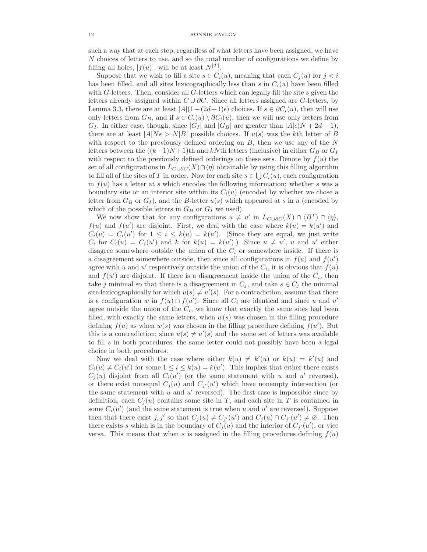such a way that at each step, regardless of what letters have been assigned, we have N choices of letters to use, and so the total number of configurations we define by filling all holes,  $|f(u)|$ , will be at least  $N^{|T|}$ .

Suppose that we wish to fill a site  $s \in C_i(u)$ , meaning that each  $C_i(u)$  for  $j < i$ has been filled, and all sites lexicographically less than s in  $C_i(u)$  have been filled with G-letters. Then, consider all G-letters which can legally fill the site  $s$  given the letters already assigned within  $C \cup \partial C$ . Since all letters assigned are G-letters, by Lemma 3.3, there are at least  $|A|(1-(2d+1)\epsilon)$  choices. If  $s \in \partial C_i(u)$ , then will use only letters from  $G_B$ , and if  $s \in C_i(u) \setminus \partial C_i(u)$ , then we will use only letters from  $G_I$ . In either case, though, since  $|G_I|$  and  $|G_B|$  are greater than  $|A|\epsilon(N+2d+1)$ , there are at least  $|A|N\epsilon > N|B|$  possible choices. If  $u(s)$  was the kth letter of B with respect to the previously defined ordering on  $B$ , then we use any of the  $N$ letters between the  $((k-1)N+1)$ th and kNth letters (inclusive) in either  $G_B$  or  $G_I$ with respect to the previously defined orderings on these sets. Denote by  $f(u)$  the set of all configurations in  $L_{C\cup\partial C}(X)\cap\langle\eta\rangle$  obtainable by using this filling algorithm to fill all of the sites of T in order. Now for each site  $s \in \bigcup C_i(u)$ , each configuration in  $f(u)$  has a letter at s which encodes the following information: whether s was a boundary site or an interior site within its  $C_i(u)$  (encoded by whether we chose a letter from  $G_B$  or  $G_I$ ), and the B-letter  $u(s)$  which appeared at s in u (encoded by which of the possible letters in  $G_B$  or  $G_I$  we used).

We now show that for any configurations  $u \neq u'$  in  $L_{C\cup \partial C}(X) \cap \langle B^T \rangle \cap \langle \eta \rangle$ ,  $f(u)$  and  $f(u')$  are disjoint. First, we deal with the case where  $k(u) = k(u')$  and  $C_i(u) = C_i(u')$  for  $1 \leq i \leq k(u) = k(u')$ . (Since they are equal, we just write  $C_i$  for  $C_i(u) = C_i(u')$  and k for  $k(u) = k(u')$ . Since  $u \neq u'$ , u and u' either disagree somewhere outside the union of the  $C_i$  or somewhere inside. If there is a disagreement somewhere outside, then since all configurations in  $f(u)$  and  $f(u')$ agree with u and u' respectively outside the union of the  $C_i$ , it is obvious that  $f(u)$ and  $f(u')$  are disjoint. If there is a disagreement inside the union of the  $C_i$ , then take j minimal so that there is a disagreement in  $C_i$ , and take  $s \in C_i$  the minimal site lexicographically for which  $u(s) \neq u'(s)$ . For a contradiction, assume that there is a configuration w in  $f(u) \cap f(u')$ . Since all  $C_i$  are identical and since u and u' agree outside the union of the  $C_i$ , we know that exactly the same sites had been filled, with exactly the same letters, when  $w(s)$  was chosen in the filling procedure defining  $f(u)$  as when  $w(s)$  was chosen in the filling procedure defining  $f(u')$ . But this is a contradiction; since  $u(s) \neq u'(s)$  and the same set of letters was available to fill s in both procedures, the same letter could not possibly have been a legal choice in both procedures.

Now we deal with the case where either  $k(u) \neq k'(u)$  or  $k(u) = k'(u)$  and  $C_i(u) \neq C_i(u')$  for some  $1 \leq i \leq k(u) = k(u')$ . This implies that either there exists  $C_j(u)$  disjoint from all  $C_i(u')$  (or the same statement with u and u' reversed), or there exist nonequal  $C_j(u)$  and  $C_{j'}(u')$  which have nonempty intersection (or the same statement with  $u$  and  $u'$  reversed). The first case is impossible since by definition, each  $C_i(u)$  contains some site in T, and each site in T is contained in some  $C_i(u')$  (and the same statement is true when u and u' are reversed). Suppose then that there exist j, j' so that  $C_j(u) \neq C_{j'}(u')$  and  $C_j(u) \cap C_{j'}(u') \neq \emptyset$ . Then there exists s which is in the boundary of  $C_j(u)$  and the interior of  $C_{j'}(u')$ , or vice versa. This means that when s is assigned in the filling procedures defining  $f(u)$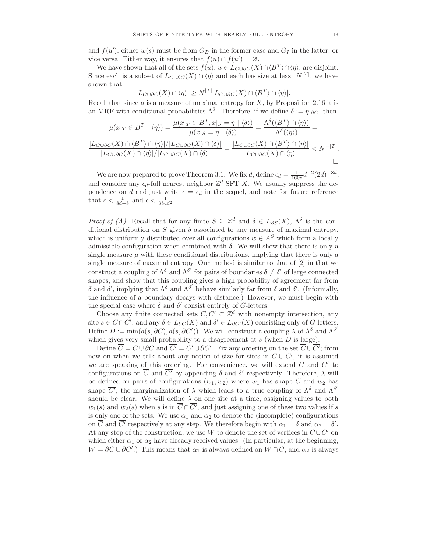and  $f(u')$ , either  $w(s)$  must be from  $G_B$  in the former case and  $G_I$  in the latter, or vice versa. Either way, it ensures that  $f(u) \cap f(u') = \emptyset$ .

We have shown that all of the sets  $f(u)$ ,  $u \in L_{C \cup \partial C}(X) \cap \langle B^T \rangle \cap \langle \eta \rangle$ , are disjoint. Since each is a subset of  $L_{C\cup\partial C}(X) \cap \langle \eta \rangle$  and each has size at least  $N^{|T|}$ , we have shown that

$$
|L_{C \cup \partial C}(X) \cap \langle \eta \rangle| \ge N^{|T|} |L_{C \cup \partial C}(X) \cap \langle B^T \rangle \cap \langle \eta \rangle|.
$$

Recall that since  $\mu$  is a measure of maximal entropy for X, by Proposition 2.16 it is an MRF with conditional probabilities  $\Lambda^{\delta}$ . Therefore, if we define  $\delta := \eta|_{\partial C}$ , then

$$
\mu(x|_T \in B^T \mid \langle \eta \rangle) = \frac{\mu(x|_T \in B^T, x|_S = \eta \mid \langle \delta \rangle)}{\mu(x|_S = \eta \mid \langle \delta \rangle)} = \frac{\Lambda^{\delta}(\langle B^T \rangle \cap \langle \eta \rangle)}{\Lambda^{\delta}(\langle \eta \rangle)} = \frac{|L_{C \cup \partial C}(X) \cap \langle B^T \rangle \cap \langle \eta \rangle|/|L_{C \cup \partial C}(X) \cap \langle \delta \rangle|}{|L_{C \cup \partial C}(X) \cap \langle \eta \rangle|/|L_{C \cup \partial C}(X) \cap \langle \delta \rangle|} = \frac{|L_{C \cup \partial C}(X) \cap \langle B^T \rangle \cap \langle \eta \rangle|}{|L_{C \cup \partial C}(X) \cap \langle \eta \rangle|} < N^{-|T|}.
$$

We are now prepared to prove Theorem 3.1. We fix d, define  $\epsilon_d = \frac{1}{160e} d^{-2} (2d)^{-8d}$ , and consider any  $\epsilon_d$ -full nearest neighbor  $\mathbb{Z}^d$  SFT X. We usually suppress the dependence on d and just write  $\epsilon = \epsilon_d$  in the sequel, and note for future reference that  $\epsilon < \frac{1}{8d+8}$  and  $\epsilon < \frac{1}{384d^2}$ .

Proof of (A). Recall that for any finite  $S \subseteq \mathbb{Z}^d$  and  $\delta \in L_{\partial S}(X)$ ,  $\Lambda^{\delta}$  is the conditional distribution on S given  $\delta$  associated to any measure of maximal entropy, which is uniformly distributed over all configurations  $w \in A^S$  which form a locally admissible configuration when combined with  $\delta$ . We will show that there is only a single measure  $\mu$  with these conditional distributions, implying that there is only a single measure of maximal entropy. Our method is similar to that of [2] in that we construct a coupling of  $\Lambda^{\delta}$  and  $\Lambda^{\delta'}$  for pairs of boundaries  $\delta \neq \delta'$  of large connected shapes, and show that this coupling gives a high probability of agreement far from δ and δ', implying that  $\Lambda^{\delta}$  and  $\Lambda^{\delta'}$  behave similarly far from δ and δ'. (Informally, the influence of a boundary decays with distance.) However, we must begin with the special case where  $\delta$  and  $\delta'$  consist entirely of G-letters.

Choose any finite connected sets  $C, C' \subset \mathbb{Z}^d$  with nonempty intersection, any site  $s \in C \cap C'$ , and any  $\delta \in L_{\partial C}(X)$  and  $\delta' \in L_{\partial C'}(X)$  consisting only of G-letters. Define  $D := \min(d(s, \partial C), d(s, \partial C'))$ . We will construct a coupling  $\lambda$  of  $\Lambda^{\delta}$  and  $\Lambda^{\delta'}$ which gives very small probability to a disagreement at  $s$  (when  $D$  is large).

Define  $C = C \cup \partial C$  and  $C' = C' \cup \partial C'$ . Fix any ordering on the set  $C \cup C'$ ; from now on when we talk about any notion of size for sites in  $C \cup C'$ , it is assumed we are speaking of this ordering. For convenience, we will extend  $C$  and  $C'$  to configurations on C and C' by appending  $\delta$  and  $\delta'$  respectively. Therefore,  $\lambda$  will be defined on pairs of configurations  $(w_1, w_2)$  where  $w_1$  has shape  $\overline{C}$  and  $w_2$  has shape  $\overline{C'}$ ; the marginalization of  $\lambda$  which leads to a true coupling of  $\Lambda^{\delta}$  and  $\Lambda^{\delta'}$ should be clear. We will define  $\lambda$  on one site at a time, assigning values to both  $w_1(s)$  and  $w_2(s)$  when s is in  $C \cap C'$ , and just assigning one of these two values if s is only one of the sets. We use  $\alpha_1$  and  $\alpha_2$  to denote the (incomplete) configurations on C and C' respectively at any step. We therefore begin with  $\alpha_1 = \delta$  and  $\alpha_2 = \delta'$ . At any step of the construction, we use W to denote the set of vertices in  $\overline{C}\cup\overline{C'}$  on which either  $\alpha_1$  or  $\alpha_2$  have already received values. (In particular, at the beginning,  $W = \partial C \cup \partial C'$ .) This means that  $\alpha_1$  is always defined on  $W \cap C$ , and  $\alpha_2$  is always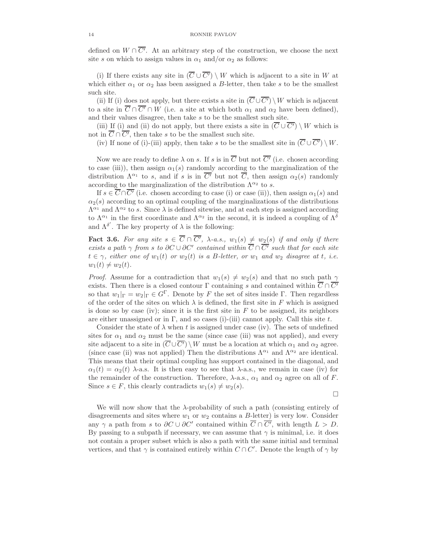defined on  $W \cap C'$ . At an arbitrary step of the construction, we choose the next site s on which to assign values in  $\alpha_1$  and/or  $\alpha_2$  as follows:

(i) If there exists any site in  $(\overline{C} \cup \overline{C'}) \setminus W$  which is adjacent to a site in W at which either  $\alpha_1$  or  $\alpha_2$  has been assigned a B-letter, then take s to be the smallest such site.

(ii) If (i) does not apply, but there exists a site in  $(\overline{C} \cup \overline{C'}) \setminus W$  which is adjacent to a site in  $\overline{C} \cap \overline{C'} \cap W$  (i.e. a site at which both  $\alpha_1$  and  $\alpha_2$  have been defined), and their values disagree, then take s to be the smallest such site.

(iii) If (i) and (ii) do not apply, but there exists a site in  $(\overline{C} \cup \overline{C'}) \setminus W$  which is not in  $C \cap C'$ , then take s to be the smallest such site.

(iv) If none of (i)-(iii) apply, then take s to be the smallest site in  $(\overline{C} \cup \overline{C'}) \setminus W$ .

Now we are ready to define  $\lambda$  on s. If s is in  $\overline{C}$  but not  $\overline{C'}$  (i.e. chosen according to case (iii)), then assign  $\alpha_1(s)$  randomly according to the marginalization of the distribution  $\Lambda^{\alpha_1}$  to s, and if s is in  $\overline{C'}$  but not  $\overline{C}$ , then assign  $\alpha_2(s)$  randomly according to the marginalization of the distribution  $\Lambda^{\alpha_2}$  to s.

If  $s \in \overline{C} \cap \overline{C'}$  (i.e. chosen according to case (i) or case (ii)), then assign  $\alpha_1(s)$  and  $\alpha_2(s)$  according to an optimal coupling of the marginalizations of the distributions  $\Lambda^{\alpha_1}$  and  $\Lambda^{\alpha_2}$  to s. Since  $\lambda$  is defined sitewise, and at each step is assigned according to  $\Lambda^{\alpha_1}$  in the first coordinate and  $\Lambda^{\alpha_2}$  in the second, it is indeed a coupling of  $\Lambda^{\delta}$ and  $\Lambda^{\delta'}$ . The key property of  $\lambda$  is the following:

**Fact 3.6.** For any site  $s \in C \cap C'$ ,  $\lambda$ -a.s.,  $w_1(s) \neq w_2(s)$  if and only if there exists a path  $\gamma$  from s to  $\partial C \cup \partial C'$  contained within  $C \cap C'$  such that for each site  $t \in \gamma$ , either one of  $w_1(t)$  or  $w_2(t)$  is a B-letter, or  $w_1$  and  $w_2$  disagree at t, i.e.  $w_1(t) \neq w_2(t)$ .

*Proof.* Assume for a contradiction that  $w_1(s) \neq w_2(s)$  and that no such path  $\gamma$ exists. Then there is a closed contour  $\Gamma$  containing s and contained within  $\overline{C} \cap \overline{C'}$ so that  $w_1|_{\Gamma} = w_2|_{\Gamma} \in G^{\Gamma}$ . Denote by F the set of sites inside Γ. Then regardless of the order of the sites on which  $\lambda$  is defined, the first site in F which is assigned is done so by case (iv); since it is the first site in  $F$  to be assigned, its neighbors are either unassigned or in  $\Gamma$ , and so cases (i)-(iii) cannot apply. Call this site t.

Consider the state of  $\lambda$  when t is assigned under case (iv). The sets of undefined sites for  $\alpha_1$  and  $\alpha_2$  must be the same (since case (iii) was not applied), and every site adjacent to a site in  $(\overline{C} \cup \overline{C'}) \setminus W$  must be a location at which  $\alpha_1$  and  $\alpha_2$  agree. (since case (ii) was not applied) Then the distributions  $\Lambda^{\alpha_1}$  and  $\Lambda^{\alpha_2}$  are identical. This means that their optimal coupling has support contained in the diagonal, and  $\alpha_1(t) = \alpha_2(t)$   $\lambda$ -a.s. It is then easy to see that  $\lambda$ -a.s., we remain in case (iv) for the remainder of the construction. Therefore,  $\lambda$ -a.s.,  $\alpha_1$  and  $\alpha_2$  agree on all of F. Since  $s \in F$ , this clearly contradicts  $w_1(s) \neq w_2(s)$ .

$$
\Box
$$

We will now show that the  $\lambda$ -probability of such a path (consisting entirely of disagreements and sites where  $w_1$  or  $w_2$  contains a B-letter) is very low. Consider any  $\gamma$  a path from s to  $\partial C \cup \partial C'$  contained within  $C \cap C'$ , with length  $L > D$ . By passing to a subpath if necessary, we can assume that  $\gamma$  is minimal, i.e. it does not contain a proper subset which is also a path with the same initial and terminal vertices, and that  $\gamma$  is contained entirely within  $C \cap C'$ . Denote the length of  $\gamma$  by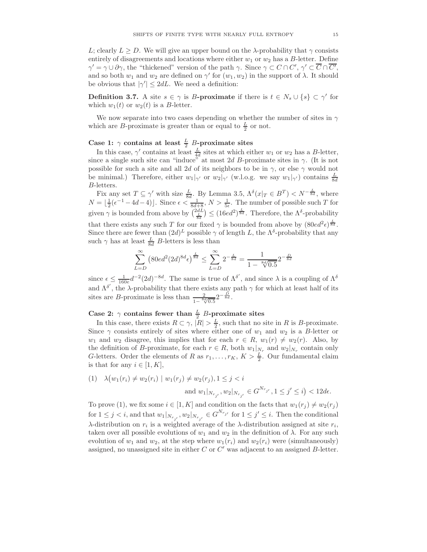L; clearly  $L > D$ . We will give an upper bound on the  $\lambda$ -probability that  $\gamma$  consists entirely of disagreements and locations where either  $w_1$  or  $w_2$  has a B-letter. Define  $\gamma' = \gamma \cup \partial \gamma$ , the "thickened" version of the path  $\gamma$ . Since  $\gamma \subset C \cap C', \gamma' \subset C \cap C'$ , and so both  $w_1$  and  $w_2$  are defined on  $\gamma'$  for  $(w_1, w_2)$  in the support of  $\lambda$ . It should be obvious that  $|\gamma'| \leq 2dL$ . We need a definition:

**Definition 3.7.** A site  $s \in \gamma$  is B-**proximate** if there is  $t \in N_s \cup \{s\} \subset \gamma'$  for which  $w_1(t)$  or  $w_2(t)$  is a B-letter.

We now separate into two cases depending on whether the number of sites in  $\gamma$ which are *B*-proximate is greater than or equal to  $\frac{L}{2}$  or not.

# Case 1:  $\gamma$  contains at least  $\frac{L}{2}$  B-proximate sites

In this case,  $\gamma'$  contains at least  $\frac{L}{4d}$  sites at which either  $w_1$  or  $w_2$  has a B-letter, since a single such site can "induce" at most 2d B-proximate sites in  $\gamma$ . (It is not possible for such a site and all 2d of its neighbors to be in  $\gamma$ , or else  $\gamma$  would not be minimal.) Therefore, either  $w_1|_{\gamma'}$  or  $w_2|_{\gamma'}$  (w.l.o.g. we say  $w_1|_{\gamma'}$ ) contains  $\frac{L}{8d}$ B-letters.

Fix any set  $T \subseteq \gamma'$  with size  $\frac{L}{8d}$ . By Lemma 3.5,  $\Lambda^{\delta}(x|_T \in B^T) < N^{-\frac{L}{8d}}$ , where  $N = \lfloor \frac{1}{2}(\epsilon^{-1} - 4d - 4) \rfloor$ . Since  $\epsilon < \frac{1}{8d+8}$ ,  $N > \frac{1}{5\epsilon}$ . The number of possible such T for given  $\gamma$  is bounded from above by  $\left(\frac{2dL}{\frac{L}{8d}}\right) \leq (16ed^2)^{\frac{L}{8d}}$ . Therefore, the  $\Lambda^{\delta}$ -probability that there exists any such T for our fixed  $\gamma$  is bounded from above by  $(80ed^2\epsilon)^{\frac{L}{8d}}$ . Since there are fewer than  $(2d)^L$  possible  $\gamma$  of length L, the  $\Lambda^{\delta}$ -probability that any such  $\gamma$  has at least  $\frac{L}{8d}$  B-letters is less than

$$
\sum_{L=D}^{\infty} \left(80ed^2(2d)^{8d}\epsilon\right)^{\frac{L}{8d}} \le \sum_{L=D}^{\infty} 2^{-\frac{L}{8d}} = \frac{1}{1 - \sqrt[8d]{0.5}} 2^{-\frac{D}{8d}}
$$

since  $\epsilon \leq \frac{1}{160e} d^{-2} (2d)^{-8d}$ . The same is true of  $\Lambda^{\delta'}$ , and since  $\lambda$  is a coupling of  $\Lambda^{\delta}$ and  $\Lambda^{\delta'}$ , the  $\lambda$ -probability that there exists any path  $\gamma$  for which at least half of its sites are *B*-proximate is less than  $\frac{2}{1-\frac{8d}{\sqrt{0.5}}2}$  $-\frac{D}{8d}$ .

# Case 2:  $\gamma$  contains fewer than  $\frac{L}{2}$  B-proximate sites

In this case, there exists  $R \subset \gamma$ ,  $|R| > \frac{L}{2}$ , such that no site in R is B-proximate. Since  $\gamma$  consists entirely of sites where either one of  $w_1$  and  $w_2$  is a B-letter or  $w_1$  and  $w_2$  disagree, this implies that for each  $r \in R$ ,  $w_1(r) \neq w_2(r)$ . Also, by the definition of B-proximate, for each  $r \in R$ , both  $w_1|_{N_r}$  and  $w_2|_{N_r}$  contain only G-letters. Order the elements of R as  $r_1, \ldots, r_K$ ,  $K > \frac{L}{2}$ . Our fundamental claim is that for any  $i \in [1, K]$ ,

(1) 
$$
\lambda (w_1(r_i) \neq w_2(r_i) \mid w_1(r_j) \neq w_2(r_j), 1 \leq j < i
$$
  
and  $w_1|_{N_{r_{j'}}}, w_2|_{N_{r_{j'}}} \in G^{N_{r_{j'}}}, 1 \leq j' \leq i) < 12d\epsilon$ .

To prove (1), we fix some  $i \in [1, K]$  and condition on the facts that  $w_1(r_j) \neq w_2(r_j)$ for  $1 \leq j < i$ , and that  $w_1|_{N_{r_{j'}}}, w_2|_{N_{r_{j'}}} \in G^{N_{r_{j'}}}$  for  $1 \leq j' \leq i$ . Then the conditional λ-distribution on  $r_i$  is a weighted average of the λ-distribution assigned at site  $r_i$ , taken over all possible evolutions of  $w_1$  and  $w_2$  in the definition of  $\lambda$ . For any such evolution of  $w_1$  and  $w_2$ , at the step where  $w_1(r_i)$  and  $w_2(r_i)$  were (simultaneously) assigned, no unassigned site in either  $C$  or  $C'$  was adjacent to an assigned  $B$ -letter.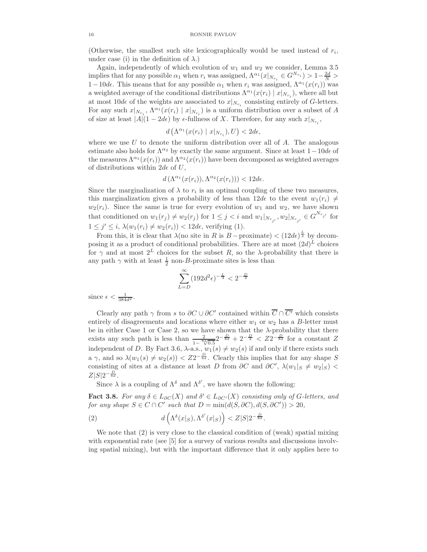(Otherwise, the smallest such site lexicographically would be used instead of  $r_i$ , under case (i) in the definition of  $\lambda$ .)

Again, independently of which evolution of  $w_1$  and  $w_2$  we consider, Lemma 3.5 implies that for any possible  $\alpha_1$  when  $r_i$  was assigned,  $\Lambda^{\alpha_1}(x|_{N_{r_i}} \in G^{N_{r_i}}) > 1 - \frac{2d}{N} >$ 1−10d $\epsilon$ . This means that for any possible  $\alpha_1$  when  $r_i$  was assigned,  $\Lambda^{\alpha_1}(x(r_i))$  was a weighted average of the conditional distributions  $\Lambda^{\alpha_1}(x(r_i) | x|_{N_{r_i}})$ , where all but at most  $10d\epsilon$  of the weights are associated to  $x|_{N_{r_i}}$  consisting entirely of G-letters. For any such  $x|_{N_{r_i}}$ ,  $\Lambda^{\alpha_1}(x(r_i) | x|_{N_{r_i}})$  is a uniform distribution over a subset of A of size at least  $|A|(1-2d\epsilon)$  by  $\epsilon$ -fullness of X. Therefore, for any such  $x|_{N_{r_i}}$ ,

$$
d\left(\Lambda^{\alpha_1}(x(r_i)\mid x|_{N_{r_i}}), U\right) < 2d\epsilon,
$$

where we use U to denote the uniform distribution over all of  $A$ . The analogous estimate also holds for  $\Lambda^{\alpha_2}$  by exactly the same argument. Since at least  $1-10d\epsilon$  of the measures  $\Lambda^{\alpha_1}(x(r_i))$  and  $\Lambda^{\alpha_2}(x(r_i))$  have been decomposed as weighted averages of distributions within  $2d\epsilon$  of U,

 $d\left(\Lambda^{\alpha_1}(x(r_i)),\Lambda^{\alpha_2}(x(r_i))\right) < 12d\epsilon.$ 

Since the marginalization of  $\lambda$  to  $r_i$  is an optimal coupling of these two measures, this marginalization gives a probability of less than  $12d\epsilon$  to the event  $w_1(r_i) \neq$  $w_2(r_i)$ . Since the same is true for every evolution of  $w_1$  and  $w_2$ , we have shown that conditioned on  $w_1(r_j) \neq w_2(r_j)$  for  $1 \leq j < i$  and  $w_1|_{N_{r_{j'}}}, w_2|_{N_{r_{j'}}} \in G^{N_{r_{j'}}}$  for  $1 \leq j' \leq i$ ,  $\lambda(w_1(r_i) \neq w_2(r_i)) < 12d\epsilon$ , verifying (1).

From this, it is clear that  $\lambda$ (no site in R is B – proximate) <  $(12d\epsilon)^{\frac{L}{2}}$  by decomposing it as a product of conditional probabilities. There are at most  $(2d)^L$  choices for  $\gamma$  and at most  $2^L$  choices for the subset R, so the  $\lambda$ -probability that there is any path  $\gamma$  with at least  $\frac{1}{2}$  non-B-proximate sites is less than

$$
\sum_{L=D}^{\infty} (192d^2 \epsilon)^{-\frac{L}{4}} < 2^{-\frac{D}{4}}
$$

since  $\epsilon < \frac{1}{384d^2}$ .

Clearly any path  $\gamma$  from s to  $\partial C \cup \partial C'$  contained within  $C \cap C'$  which consists entirely of disagreements and locations where either  $w_1$  or  $w_2$  has a B-letter must be in either Case 1 or Case 2, so we have shown that the  $\lambda$ -probability that there exists any such path is less than  $\frac{2}{1-\frac{8d}{\sqrt{0.5}}}2^{-\frac{D}{8d}}+2^{-\frac{D}{4}} < Z2^{-\frac{D}{8d}}$  for a constant Z independent of D. By Fact 3.6,  $\lambda$ -a.s.,  $w_1(s) \neq w_2(s)$  if and only if there exists such a  $\gamma$ , and so  $\lambda(w_1(s) \neq w_2(s)) < Z_2^{-\frac{D}{8d}}$ . Clearly this implies that for any shape S consisting of sites at a distance at least D from  $\partial C$  and  $\partial C'$ ,  $\lambda(w_1|_S \neq w_2|_S)$  <  $Z|S|2^{-\frac{D}{8d}}.$ 

Since  $\lambda$  is a coupling of  $\Lambda^{\delta}$  and  $\Lambda^{\delta'}$ , we have shown the following:

**Fact 3.8.** For any  $\delta \in L_{\partial C}(X)$  and  $\delta' \in L_{\partial C'}(X)$  consisting only of G-letters, and for any shape  $S \in C \cap C'$  such that  $D = \min(d(S, \partial C), d(S, \partial C')) > 20$ ,

(2) 
$$
d\left(\Lambda^{\delta}(x|_{S}),\Lambda^{\delta'}(x|_{S})\right) < Z|S|2^{-\frac{D}{8d}}.
$$

We note that (2) is very close to the classical condition of (weak) spatial mixing with exponential rate (see [5] for a survey of various results and discussions involving spatial mixing), but with the important difference that it only applies here to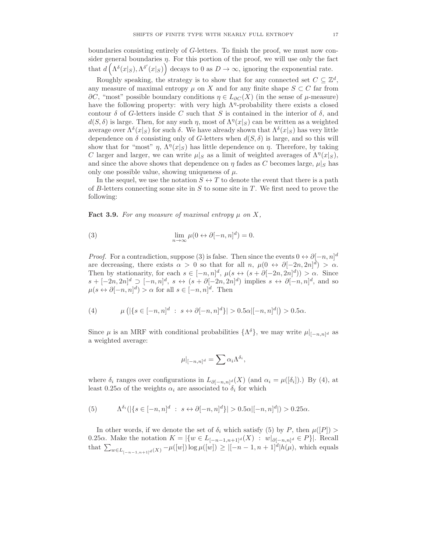boundaries consisting entirely of G-letters. To finish the proof, we must now consider general boundaries  $\eta$ . For this portion of the proof, we will use only the fact that  $d\left(\Lambda^{\delta}(x|_{S}),\Lambda^{\delta'}(x|_{S})\right)$  decays to 0 as  $D\to\infty$ , ignoring the exponential rate.

Roughly speaking, the strategy is to show that for any connected set  $C \subseteq \mathbb{Z}^d$ , any measure of maximal entropy  $\mu$  on X and for any finite shape  $S \subset C$  far from  $\partial C$ , "most" possible boundary conditions  $\eta \in L_{\partial C}(X)$  (in the sense of  $\mu$ -measure) have the following property: with very high  $\Lambda$ <sup>*n*</sup>-probability there exists a closed contour  $\delta$  of G-letters inside C such that S is contained in the interior of  $\delta$ , and  $d(S, \delta)$  is large. Then, for any such  $\eta$ , most of  $\Lambda^{\eta}(x|_S)$  can be written as a weighted average over  $\Lambda^{\delta}(x|_{S})$  for such  $\delta$ . We have already shown that  $\Lambda^{\delta}(x|_{S})$  has very little dependence on  $\delta$  consisting only of G-letters when  $d(S, \delta)$  is large, and so this will show that for "most"  $\eta$ ,  $\Lambda^{\eta}(x|_S)$  has little dependence on  $\eta$ . Therefore, by taking C larger and larger, we can write  $\mu|_S$  as a limit of weighted averages of  $\Lambda^{\eta}(x|_S)$ , and since the above shows that dependence on  $\eta$  fades as C becomes large,  $\mu|_S$  has only one possible value, showing uniqueness of  $\mu$ .

In the sequel, we use the notation  $S \leftrightarrow T$  to denote the event that there is a path of B-letters connecting some site in  $S$  to some site in  $T$ . We first need to prove the following:

**Fact 3.9.** For any measure of maximal entropy  $\mu$  on X,

(3) 
$$
\lim_{n \to \infty} \mu(0 \leftrightarrow \partial [-n, n]^d) = 0.
$$

*Proof.* For a contradiction, suppose (3) is false. Then since the events  $0 \leftrightarrow \partial [-n, n]^d$ are decreasing, there exists  $\alpha > 0$  so that for all  $n, \mu(0 \leftrightarrow \partial [-2n, 2n]^d) > \alpha$ . Then by stationarity, for each  $s \in [-n, n]^d$ ,  $\mu(s \leftrightarrow (s + \partial [-2n, 2n]^d)) > \alpha$ . Since  $s + [-2n, 2n]^d \supseteq [-n, n]^d$ ,  $s \leftrightarrow (s + \partial[-2n, 2n]^d)$  implies  $s \leftrightarrow \partial[-n, n]^d$ , and so  $\mu(s \leftrightarrow \partial[-n,n]^d) > \alpha$  for all  $s \in [-n,n]^d$ . Then

(4) 
$$
\mu\left(|\{s \in [-n,n]^d : s \leftrightarrow \partial[-n,n]^d\}| > 0.5\alpha|[-n,n]^d|\right) > 0.5\alpha.
$$

Since  $\mu$  is an MRF with conditional probabilities  $\{\Lambda^{\delta}\}\,$ , we may write  $\mu|_{[-n,n]^d}$  as a weighted average:

$$
\mu|_{[-n,n]^d} = \sum \alpha_i \Lambda^{\delta_i},
$$

where  $\delta_i$  ranges over configurations in  $L_{\partial[-n,n]^d}(X)$  (and  $\alpha_i = \mu([\delta_i])$ .) By (4), at least  $0.25\alpha$  of the weights  $\alpha_i$  are associated to  $\delta_i$  for which

(5) 
$$
\Lambda^{\delta_i}(|\{s \in [-n,n]^d : s \leftrightarrow \partial[-n,n]^d\}| > 0.5\alpha|[-n,n]^d|) > 0.25\alpha.
$$

In other words, if we denote the set of  $\delta_i$  which satisfy (5) by P, then  $\mu([P]) >$ 0.25α. Make the notation  $K = |\{w \in L_{[-n-1,n+1]^d}(X) : w|_{\partial [-n,n]^d} \in P\}|$ . Recall that  $\sum_{w \in L_{[-n-1,n+1]^d}(X)} - \mu([w]) \log \mu([w]) \ge |[-n-1,n+1]^d | h(\mu)$ , which equals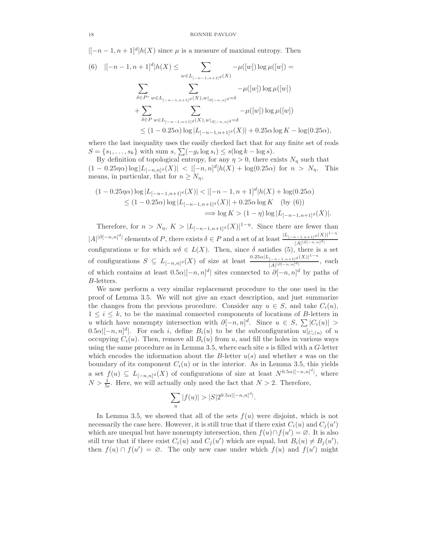$|[-n-1,n+1]^d|h(X)$  since  $\mu$  is a measure of maximal entropy. Then

(6) 
$$
|[-n-1, n+1]^d | h(X) \leq \sum_{w \in L_{[-n-1, n+1]^d}(X)} -\mu([w]) \log \mu([w]) =
$$

$$
\sum_{\delta \in P^c} \sum_{w \in L_{[-n-1, n+1]^d}(X), w|_{\partial [-n, n]^d} = \delta} -\mu([w]) \log \mu([w])
$$

$$
+ \sum_{\delta \in P} \sum_{w \in L_{[-n-1, n+1]^d}(X), w|_{\partial [-n, n]^d} = \delta} -\mu([w]) \log \mu([w])
$$

$$
\leq (1 - 0.25\alpha) \log |L_{[-n-1, n+1]^d}(X)| + 0.25\alpha \log K - \log(0.25\alpha),
$$

where the last inequality uses the easily checked fact that for any finite set of reals  $S = \{s_1, \ldots, s_k\}$  with sum  $s, \sum(-g_i \log s_i) \leq s(\log k - \log s)$ .

By definition of topological entropy, for any  $\eta > 0$ , there exists  $N_{\eta}$  such that  $(1 - 0.25\eta\alpha) \log |L_{[-n,n]^d}(X)| < |[-n,n]^d |h(X) + \log(0.25\alpha)$  for  $n > N_\eta$ . This means, in particular, that for  $n \geq N_{\eta}$ ,

$$
(1 - 0.25\eta\alpha) \log |L_{[-n-1,n+1]^d}(X)| < |[-n-1,n+1]^d |h(X) + \log(0.25\alpha)
$$
  
\n
$$
\leq (1 - 0.25\alpha) \log |L_{[-n-1,n+1]^d}(X)| + 0.25\alpha \log K \quad \text{(by (6))}
$$
  
\n
$$
\implies \log K > (1 - \eta) \log |L_{[-n-1,n+1]^d}(X)|.
$$

Therefore, for  $n > N_{\eta}$ ,  $K > |L_{[-n-1,n+1]^d}(X)|^{1-\eta}$ . Since there are fewer than  $|A|^{|\partial[-n,n]^d|}$  elements of P, there exists  $\delta \in P$  and a set of at least  $\frac{|L_{[-n-1,n+1]^d}(X)|^{1-\eta}}{|A|^{|\partial[-n,n]^d|}}$  $|A|^{|\partial[-n,n]^d|}$ configurations w for which  $w\delta \in L(X)$ . Then, since  $\delta$  satisfies (5), there is a set of configurations  $S \subseteq L_{[-n,n]^d}(X)$  of size at least  $\frac{0.25\alpha |L_{[-n-1,n+1]^d}(X)|^{1-\eta}}{|A||\partial[-n,n]^d|}$  $\frac{|-n-1,n+1|^{a(1)}\cdot n}{|A||b(-n,n)|^d}$ , each of which contains at least  $0.5\alpha|[-n,n]^d|$  sites connected to  $\partial[-n,n]^d$  by paths of B-letters.

We now perform a very similar replacement procedure to the one used in the proof of Lemma 3.5. We will not give an exact description, and just summarize the changes from the previous procedure. Consider any  $u \in S$ , and take  $C_i(u)$ ,  $1 \leq i \leq k$ , to be the maximal connected components of locations of B-letters in u which have nonempty intersection with  $\partial [-n, n]^d$ . Since  $u \in S$ ,  $\sum |C_i(u)| >$  $[0.5\alpha]$ [-n, n]<sup>d</sup>]. For each i, define  $B_i(u)$  to be the subconfiguration  $u|_{C_i(u)}$  of u occupying  $C_i(u)$ . Then, remove all  $B_i(u)$  from u, and fill the holes in various ways using the same procedure as in Lemma 3.5, where each site s is filled with a G-letter which encodes the information about the B-letter  $u(s)$  and whether s was on the boundary of its component  $C_i(u)$  or in the interior. As in Lemma 3.5, this yields a set  $f(u) \subseteq L_{[-n,n]^d}(X)$  of configurations of size at least  $N^{0.5\alpha|[-n,n]^d}$ , where  $N > \frac{1}{5\epsilon}$ . Here, we will actually only need the fact that  $N > 2$ . Therefore,

$$
\sum_{u} |f(u)| > |S| 2^{0.5\alpha |[-n,n]^d|}.
$$

In Lemma 3.5, we showed that all of the sets  $f(u)$  were disjoint, which is not necessarily the case here. However, it is still true that if there exist  $C_i(u)$  and  $C_j(u')$ which are unequal but have nonempty intersection, then  $f(u) \cap f(u') = \emptyset$ . It is also still true that if there exist  $C_i(u)$  and  $C_j(u')$  which are equal, but  $B_i(u) \neq B_j(u')$ , then  $f(u) \cap f(u') = \emptyset$ . The only new case under which  $f(u)$  and  $f(u')$  might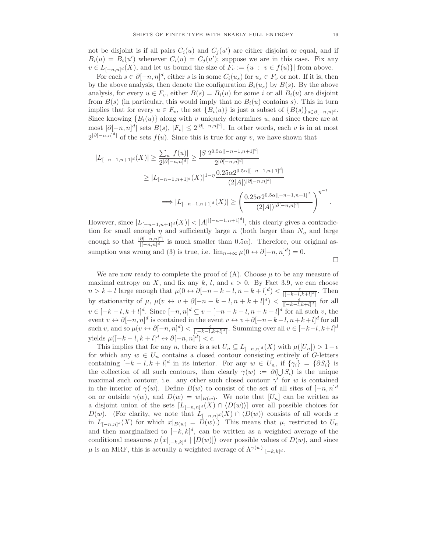not be disjoint is if all pairs  $C_i(u)$  and  $C_j(u')$  are either disjoint or equal, and if  $B_i(u) = B_i(u')$  whenever  $C_i(u) = C_j(u')$ ; suppose we are in this case. Fix any  $v \in L_{[-n,n]^d}(X)$ , and let us bound the size of  $F_v := \{u : v \in f(u)\}\$  from above.

For each  $s \in \partial [-n, n]^d$ , either s is in some  $C_i(u_s)$  for  $u_s \in F_v$  or not. If it is, then by the above analysis, then denote the configuration  $B_i(u_s)$  by  $B(s)$ . By the above analysis, for every  $u \in F_v$ , either  $B(s) = B_i(u)$  for some i or all  $B_i(u)$  are disjoint from  $B(s)$  (in particular, this would imply that no  $B_i(u)$  contains s). This in turn implies that for every  $u \in F_v$ , the set  $\{B_i(u)\}\$ is just a subset of  $\{B(s)\}_{s \in \partial[-n,n]^d}$ . Since knowing  ${B_i(u)}$  along with v uniquely determines u, and since there are at most  $|\partial[-n,n]^d|$  sets  $B(s)$ ,  $|F_v| \leq 2^{|\partial[-n,n]^d|}$ . In other words, each v is in at most  $2^{|\partial[-n,n]^d|}$  of the sets  $f(u)$ . Since this is true for any v, we have shown that

$$
|L_{[-n-1,n+1]^d}(X)| \ge \frac{\sum_{u} |f(u)|}{2^{|\partial[-n,n]^d|}} \ge \frac{|S|2^{0.5\alpha[[-n-1,n+1]^d|}}{2^{|\partial[-n,n]^d|}}
$$
  

$$
\ge |L_{[-n-1,n+1]^d}(X)|^{1-\eta} \frac{0.25\alpha 2^{0.5\alpha[[-n-1,n+1]^d|}}{(2|A|)^{|\partial[-n,n]^d|}}
$$
  

$$
\implies |L_{[-n-1,n+1]^d}(X)| \ge \left(\frac{0.25\alpha 2^{0.5\alpha[[-n-1,n+1]^d|}}{(2|A|)^{|\partial[-n,n]^d|}}\right)^{\eta^{-1}}.
$$

However, since  $|L_{[-n-1,n+1]^d}(X)| < |A|^{|[-n-1,n+1]^d}$ , this clearly gives a contradiction for small enough  $\eta$  and sufficiently large n (both larger than  $N_{\eta}$  and large enough so that  $\frac{|\partial[-n,n]^d|}{|[-n,n]^d|}$  is much smaller than 0.5 $\alpha$ ). Therefore, our original assumption was wrong and (3) is true, i.e.  $\lim_{n\to\infty}\mu(0\leftrightarrow\partial[-n,n]^d)=0$ .

 $\Box$ 

We are now ready to complete the proof of  $(A)$ . Choose  $\mu$  to be any measure of maximal entropy on X, and fix any k, l, and  $\epsilon > 0$ . By Fact 3.9, we can choose  $n > k + l$  large enough that  $\mu(0 \leftrightarrow \partial [-n-k-l, n+k+l]^d) < \frac{\epsilon}{|[-k-l, k+l]^d|}$ . Then by stationarity of  $\mu$ ,  $\mu(v \leftrightarrow v + \partial[-n-k-l,n+k+l]^d) < \frac{\epsilon}{|[-k-l,k+l]^d|}$  for all  $v \in [-k-l, k+l]^d$ . Since  $[-n, n]^d \subseteq v + [-n-k-l, n+k+l]^d$  for all such v, the event  $v \leftrightarrow \partial[-n,n]^d$  is contained in the event  $v \leftrightarrow v+\partial[-n-k-l,n+k+l]^d$  for all such v, and so  $\mu(v \leftrightarrow \partial [-n, n]^d) < \frac{\epsilon}{|[-k-l, k+l]^d|}$ . Summing over all  $v \in [-k-l, k+l]^d$ yields  $\mu([-k-l, k+l]^d \leftrightarrow \partial [-n, n]^d) < \epsilon$ .

This implies that for any n, there is a set  $U_n \subseteq L_{[-n,n]^d}(X)$  with  $\mu([U_n]) > 1-\epsilon$ for which any  $w \in U_n$  contains a closed contour consisting entirely of G-letters containing  $[-k-l, k+l]^d$  in its interior. For any  $w \in U_n$ , if  $\{\gamma_i\} = \{\partial S_i\}$  is the collection of all such contours, then clearly  $\gamma(w) := \partial(\bigcup S_i)$  is the unique maximal such contour, i.e. any other such closed contour  $\gamma'$  for w is contained in the interior of  $\gamma(w)$ . Define  $B(w)$  to consist of the set of all sites of  $[-n, n]^d$ on or outside  $\gamma(w)$ , and  $D(w) = w|_{B(w)}$ . We note that  $[U_n]$  can be written as a disjoint union of the sets  $[L_{[-n,n]^d}(X) \cap \langle D(w) \rangle]$  over all possible choices for  $D(w)$ . (For clarity, we note that  $L_{[-n,n]^d}(X) \cap \langle D(w) \rangle$  consists of all words x in  $L_{[-n,n]^d}(X)$  for which  $x|_{B(w)} = D(w)$ .) This means that  $\mu$ , restricted to  $U_n$ and then marginalized to  $[-k, k]^d$ , can be written as a weighted average of the conditional measures  $\mu\left(x|_{[-k,k]^d} \mid [D(w)]\right)$  over possible values of  $D(w)$ , and since  $\mu$  is an MRF, this is actually a weighted average of  $\Lambda^{\gamma(w)}|_{[-k,k]^d}$ .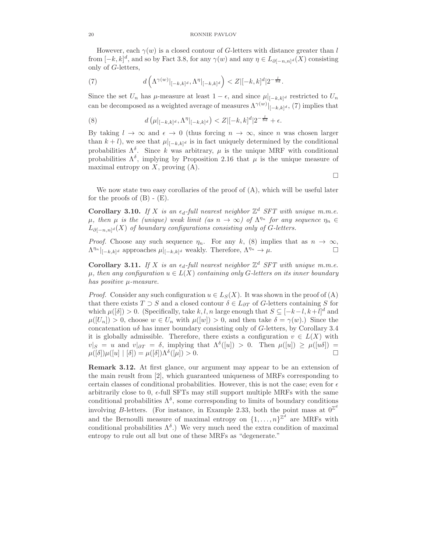However, each  $\gamma(w)$  is a closed contour of G-letters with distance greater than l from  $[-k, k]^d$ , and so by Fact 3.8, for any  $\gamma(w)$  and any  $\eta \in L_{\partial[-n,n]^d}(X)$  consisting only of G-letters,

(7) 
$$
d\left(\Lambda^{\gamma(w)}|_{[-k,k]^d},\Lambda^{\eta}|_{[-k,k]^d}\right) < Z|[-k,k]^d|2^{-\frac{l}{8d}}.
$$

Since the set  $U_n$  has  $\mu$ -measure at least  $1 - \epsilon$ , and since  $\mu|_{[-k,k]^d}$  restricted to  $U_n$ can be decomposed as a weighted average of measures  $\Lambda^{\gamma(w)}|_{[-k,k]^d}$ , (7) implies that

(8) 
$$
d(\mu|_{[-k,k]^d}, \Lambda^{\eta}|_{[-k,k]^d}) < Z|[-k,k]^d|2^{-\frac{l}{8d}} + \epsilon.
$$

By taking  $l \to \infty$  and  $\epsilon \to 0$  (thus forcing  $n \to \infty$ , since n was chosen larger than  $k + l$ , we see that  $\mu|_{[-k,k]^d}$  is in fact uniquely determined by the conditional probabilities  $\Lambda^{\delta}$ . Since k was arbitrary,  $\mu$  is the unique MRF with conditional probabilities  $\Lambda^{\delta}$ , implying by Proposition 2.16 that  $\mu$  is the unique measure of maximal entropy on  $X$ , proving  $(A)$ .

 $\Box$ 

We now state two easy corollaries of the proof of (A), which will be useful later for the proofs of  $(B)$  -  $(E)$ .

**Corollary 3.10.** If X is an  $\epsilon_d$ -full nearest neighbor  $\mathbb{Z}^d$  SFT with unique m.m.e.  $\mu$ , then  $\mu$  is the (unique) weak limit (as  $n \to \infty$ ) of  $\Lambda^{\eta_n}$  for any sequence  $\eta_n \in$  $L_{\partial[-n,n]^d}(X)$  of boundary configurations consisting only of G-letters.

*Proof.* Choose any such sequence  $\eta_n$ . For any k, (8) implies that as  $n \to \infty$ ,  $\Lambda^{\eta_n}$  is that as n  $\to \infty$ ,  $\Lambda^{\eta_n}|_{[-k,k]^d}$  approaches  $\mu|_{[-k,k]^d}$  weakly. Therefore,  $\Lambda^{\eta_n} \to \mu$ .

Corollary 3.11. If X is an  $\epsilon_d$ -full nearest neighbor  $\mathbb{Z}^d$  SFT with unique m.m.e.  $\mu$ , then any configuration  $u \in L(X)$  containing only G-letters on its inner boundary has positive  $\mu$ -measure.

*Proof.* Consider any such configuration  $u \in L_S(X)$ . It was shown in the proof of (A) that there exists  $T \supset S$  and a closed contour  $\delta \in L_{\partial T}$  of G-letters containing S for which  $\mu([\delta]) > 0$ . (Specifically, take k, l, n large enough that  $S \subseteq [-k-l, k+l]^d$  and  $\mu([U_n]) > 0$ , choose  $w \in U_n$  with  $\mu([w]) > 0$ , and then take  $\delta = \gamma(w)$ .) Since the concatenation  $u\delta$  has inner boundary consisting only of G-letters, by Corollary 3.4 it is globally admissible. Therefore, there exists a configuration  $v \in L(X)$  with  $v|_{S} = u$  and  $v|_{\partial T} = \delta$ , implying that  $\Lambda^{\delta}([u]) > 0$ . Then  $\mu([u]) \geq \mu([u\delta]) =$  $\mu([\delta])\mu([u] \mid [\delta]) = \mu([\delta])\Lambda^{\delta}([\mu]) > 0.$ 

Remark 3.12. At first glance, our argument may appear to be an extension of the main reuslt from [2], which guaranteed uniqueness of MRFs corresponding to certain classes of conditional probabilities. However, this is not the case; even for  $\epsilon$ arbitrarily close to 0,  $\epsilon$ -full SFTs may still support multiple MRFs with the same conditional probabilities  $\Lambda^{\delta}$ , some corresponding to limits of boundary conditions involving B-letters. (For instance, in Example 2.33, both the point mass at  $0^{\mathbb{Z}^d}$ and the Bernoulli measure of maximal entropy on  $\{1, \ldots, n\}^{\mathbb{Z}^d}$  are MRFs with conditional probabilities  $\Lambda^{\delta}$ .) We very much need the extra condition of maximal entropy to rule out all but one of these MRFs as "degenerate."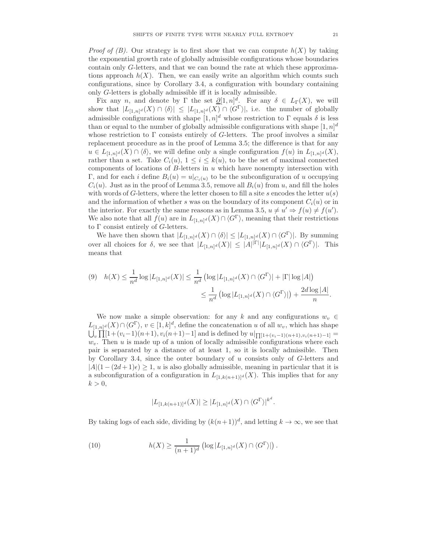*Proof of (B).* Our strategy is to first show that we can compute  $h(X)$  by taking the exponential growth rate of globally admissible configurations whose boundaries contain only G-letters, and that we can bound the rate at which these approximations approach  $h(X)$ . Then, we can easily write an algorithm which counts such configurations, since by Corollary 3.4, a configuration with boundary containing only G-letters is globally admissible iff it is locally admissible.

Fix any *n*, and denote by  $\Gamma$  the set  $\partial [1, n]^d$ . For any  $\delta \in L_{\Gamma}(X)$ , we will show that  $|L_{[1,n]^d}(X) \cap \langle \delta \rangle| \leq |L_{[1,n]^d}(X) \cap \langle G^{\Gamma} \rangle|$ , i.e. the number of globally admissible configurations with shape  $[1, n]^d$  whose restriction to  $\Gamma$  equals  $\delta$  is less than or equal to the number of globally admissible configurations with shape  $[1, n]^d$ whose restriction to  $\Gamma$  consists entirely of G-letters. The proof involves a similar replacement procedure as in the proof of Lemma 3.5; the difference is that for any  $u \in L_{[1,n]^d}(X) \cap \langle \delta \rangle$ , we will define only a single configuration  $f(u)$  in  $L_{[1,n]^d}(X)$ , rather than a set. Take  $C_i(u)$ ,  $1 \leq i \leq k(u)$ , to be the set of maximal connected components of locations of  $B$ -letters in  $u$  which have nonempty intersection with Γ, and for each *i* define  $B_i(u) = u|_{C_i(u)}$  to be the subconfiguration of *u* occupying  $C_i(u)$ . Just as in the proof of Lemma 3.5, remove all  $B_i(u)$  from u, and fill the holes with words of G-letters, where the letter chosen to fill a site s encodes the letter  $u(s)$ and the information of whether s was on the boundary of its component  $C_i(u)$  or in the interior. For exactly the same reasons as in Lemma 3.5,  $u \neq u' \Rightarrow f(u) \neq f(u')$ . We also note that all  $f(u)$  are in  $L_{[1,n]^d}(X) \cap \langle G^{\Gamma} \rangle$ , meaning that their restrictions to  $\Gamma$  consist entirely of G-letters.

We have then shown that  $|L_{[1,n]^d}(X) \cap \langle \delta \rangle| \leq |L_{[1,n]^d}(X) \cap \langle G^{\Gamma} \rangle|$ . By summing over all choices for  $\delta$ , we see that  $|L_{[1,n]^d}(X)| \leq |A|^{\vert \Gamma \vert} |L_{[1,n]^d}(X) \cap \langle G^{\Gamma} \rangle$ . This means that

$$
(9) \quad h(X) \leq \frac{1}{n^d} \log |L_{[1,n]^d}(X)| \leq \frac{1}{n^d} \left( \log |L_{[1,n]^d}(X) \cap \langle G^{\Gamma} \rangle | + |\Gamma| \log |A| \right) \\ \leq \frac{1}{n^d} \left( \log |L_{[1,n]^d}(X) \cap \langle G^{\Gamma} \rangle | \right) + \frac{2d \log |A|}{n}.
$$

We now make a simple observation: for any k and any configurations  $w_v \in$  $L_{[1,n]^d}(X) \cap \langle G^{\Gamma} \rangle$ ,  $v \in [1,k]^d$ , define the concatenation u of all  $w_v$ , which has shape  $\bigcup_{v} \prod_{i=1}^{n} [1+(v_i-1)(n+1), v_i(n+1)-1]$  and is defined by  $u|_{\prod_{i=1}^{n} [(1+(v_i-1)(n+1), v_i(n+1)-1]}$  $w<sub>v</sub>$ . Then u is made up of a union of locally admissible configurations where each pair is separated by a distance of at least 1, so it is locally admissible. Then by Corollary 3.4, since the outer boundary of u consists only of  $G$ -letters and  $|A|(1-(2d+1)\epsilon) \geq 1$ , u is also globally admissible, meaning in particular that it is a subconfiguration of a configuration in  $L_{[1,k(n+1)]^d}(X)$ . This implies that for any  $k > 0$ ,

$$
|L_{[1,k(n+1)]^d}(X)| \ge |L_{[1,n]^d}(X) \cap \langle G^{\Gamma} \rangle|^{k^d}.
$$

By taking logs of each side, dividing by  $(k(n+1))<sup>d</sup>$ , and letting  $k \to \infty$ , we see that

(10) 
$$
h(X) \geq \frac{1}{(n+1)^d} \left( \log |L_{[1,n]^d}(X) \cap \langle G^{\Gamma} \rangle | \right).
$$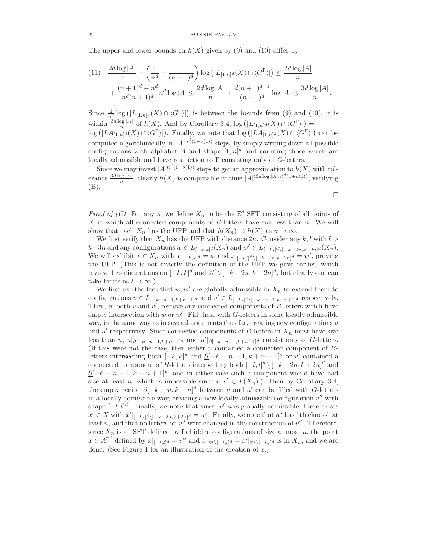#### 22 RONNIE PAVLOV

The upper and lower bounds on  $h(X)$  given by (9) and (10) differ by

$$
(11) \quad \frac{2d\log|A|}{n} + \left(\frac{1}{n^d} - \frac{1}{(n+1)^d}\right) \log\left(|L_{[1,n]^d}(X) \cap \langle G^{\Gamma} \rangle|\right) \le \frac{2d\log|A|}{n} + \frac{(n+1)^d - n^d}{n^d(n+1)^d} n^d \log|A| \le \frac{2d\log|A|}{n} + \frac{d(n+1)^{d-1}}{(n+1)^d} \log|A| \le \frac{3d\log|A|}{n}
$$

.

 $\Box$ 

Since  $\frac{1}{n^d} \log (|L_{[1,n]^d}(X) \cap \langle G^{\Gamma} \rangle|)$  is between the bounds from (9) and (10), it is within  $\frac{3d \log |A|}{n}$  of  $h(X)$ . And by Corollary 3.4,  $\log (|L_{[1,n]^d}(X) \cap \langle G^{\Gamma} \rangle|) =$  $\log (|LA_{[1,n]^d}(X) \cap \langle G^{\Gamma} \rangle|)$ . Finally, we note that  $\log (|LA_{[1,n]^d}(X) \cap \langle G^{\Gamma} \rangle|)$  can be computed algorithmically, in  $|A|^{n^d(1+o(1))}$  steps, by simply writing down all possible configurations with alphabet A and shape  $[1,n]^d$  and counting those which are locally admissible and have restriction to  $\Gamma$  consisting only of G-letters.

Since we may invest  $|A|^{n^d(1+o(1))}$  steps to get an approximation to  $h(X)$  with tolerance  $\frac{3d \log |A|}{n}$ , clearly  $h(X)$  is computable in time  $|A|^{(3d \log |A|n)^d(1+o(1))}$ , verifying (B).

*Proof of (C)*. For any n, we define  $X_n$  to be the  $\mathbb{Z}^d$  SFT consisting of all points of  $X$  in which all connected components of  $B$ -letters have size less than  $n$ . We will show that each  $X_n$  has the UFP and that  $h(X_n) \to h(X)$  as  $n \to \infty$ .

We first verify that  $X_n$  has the UFP with distance 2n. Consider any  $k, l$  with  $l >$  $k+3n$  and any configurations  $w \in L_{[-k,k]^d}(X_n)$  and  $w' \in L_{[-l,l]^d \setminus [-k-2n,k+2n]^d}(X_n)$ . We will exhibit  $x \in X_n$  with  $x|_{[-k,k]^d} = w$  and  $x|_{[-l,l]^d \setminus [-k-2n,k+2n]^d} = w'$ , proving the UFP. (This is not exactly the definition of the UFP we gave earlier, which involved configurations on  $[-k, k]^d$  and  $\mathbb{Z}^d \setminus [-k - 2n, k + 2n]^d$ , but clearly one can take limits as  $l \to \infty$ .)

We first use the fact that  $w, w'$  are globally admissible in  $X_n$  to extend them to configurations  $v \in L_{[-k-n+1,k+n-1]^d}$  and  $v' \in L_{[-l,l]^d \setminus [-k-n-1,k+n+1]^d}$  respectively. Then, in both  $v$  and  $v'$ , remove any connected components of  $B$ -letters which have empty intersection with  $w$  or  $w'$ . Fill these with  $G$ -letters in some locally admissible way, in the same way as in several arguments thus far, creating new configurations  $u$ and  $u'$  respectively. Since connected components of B-letters in  $X_n$  must have size less than n,  $u|_{\underline{\partial}[-k-n+1,k+n-1]^d}$  and  $u'|_{\underline{\partial}[-k-n-1,k+n+1]^d}$  consist only of G-letters. (If this were not the case, then either  $u$  contained a connected component of  $B$ letters intersecting both  $[-k, k]^d$  and  $\underline{\partial}[-k - n + 1, k + n - 1]^d$  or u' contained a connected component of B-letters intersecting both  $[-l, l]^d \setminus [-k-2n, k+2n]^d$  and  $\underline{\partial}[-k-n-1,k+n+1]^d$ , and in either case such a component would have had size at least n, which is impossible since  $v, v' \in L(X_n)$ .) Then by Corollary 3.4, the empty region  $\underline{\partial}[-k-n,k+n]^d$  between u and u' can be filled with G-letters in a locally admissible way, creating a new locally admissible configuration  $v''$  with shape  $[-l, l]^d$ . Finally, we note that since w' was globally admissible, there exists  $x' \in X$  with  $x'|_{[-l,l]^d \setminus [-k-2n,k+2n]^d} = w'$ . Finally, we note that w' has "thickness" at least n, and that no letters on  $w'$  were changed in the construction of  $v''$ . Therefore, since  $X_n$  is an SFT defined by forbidden configurations of size at most n, the point  $x \in A^{\mathbb{Z}^d}$  defined by  $x|_{[-l,l]^d} = v''$  and  $x|_{\mathbb{Z}^d \setminus [-l,l]^d} = x'|_{\mathbb{Z}^d \setminus [-l,l]^d}$  is in  $X_n$ , and we are done. (See Figure 1 for an illustration of the creation of  $x$ .)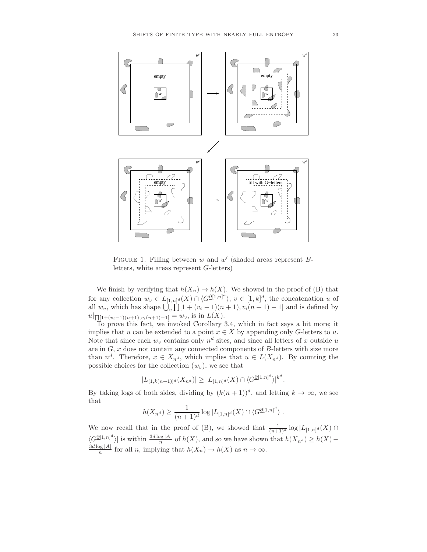

FIGURE 1. Filling between  $w$  and  $w'$  (shaded areas represent  $B$ letters, white areas represent G-letters)

We finish by verifying that  $h(X_n) \to h(X)$ . We showed in the proof of (B) that for any collection  $w_v \in L_{[1,n]^d}(X) \cap \langle G^{\underline{\partial}[1,n]^d} \rangle, v \in [1,k]^d$ , the concatenation u of all  $w_v$ , which has shape  $\bigcup_{v} \prod_{i=1}^{n} [1 + (v_i - 1)(n+1), v_i(n+1) - 1]$  and is defined by  $u|_{\prod[1+(v_i-1)(n+1),v_i(n+1)-1]} = w_v$ , is in  $L(X)$ .

To prove this fact, we invoked Corollary 3.4, which in fact says a bit more; it implies that u can be extended to a point  $x \in X$  by appending only G-letters to u. Note that since each  $w_v$  contains only  $n^d$  sites, and since all letters of x outside u are in  $G, x$  does not contain any connected components of  $B$ -letters with size more than  $n^d$ . Therefore,  $x \in X_{n^d}$ , which implies that  $u \in L(X_{n^d})$ . By counting the possible choices for the collection  $(w_v)$ , we see that

$$
|L_{[1,k(n+1)]^d}(X_{n^d})| \ge |L_{[1,n]^d}(X) \cap \langle G^{\underline{\partial}[1,n]^d} \rangle|^{k^d}.
$$

By taking logs of both sides, dividing by  $(k(n + 1))^d$ , and letting  $k \to \infty$ , we see that

$$
h(X_{n^d}) \ge \frac{1}{(n+1)^d} \log |L_{[1,n]^d}(X) \cap \langle G^{\underline{\partial}[1,n]^d} \rangle|.
$$

We now recall that in the proof of (B), we showed that  $\frac{1}{(n+1)^d} \log |L_{[1,n]^d}(X) \cap$  $\langle G\frac{\partial^{[1,n]^d}}{\partial X}\rangle$  is within  $\frac{3d\log|A|}{n}$  of  $h(X)$ , and so we have shown that  $h(X_{n^d}) \geq h(X) \frac{3d \log |A|}{n}$  for all n, implying that  $h(X_n) \to h(X)$  as  $n \to \infty$ .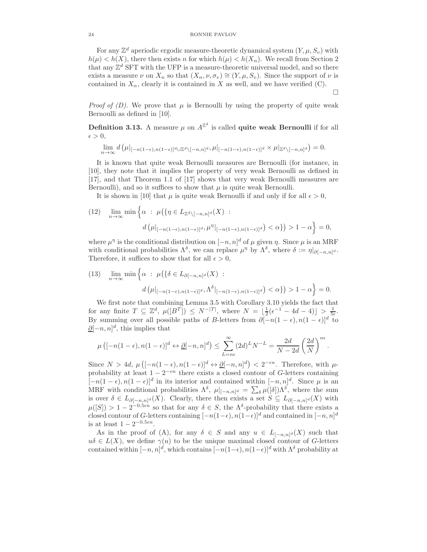For any  $\mathbb{Z}^d$  aperiodic ergodic measure-theoretic dynamical system  $(Y, \mu, S_v)$  with  $h(\mu) < h(X)$ , there then exists n for which  $h(\mu) < h(X_n)$ . We recall from Section 2 that any  $\mathbb{Z}^d$  SFT with the UFP is a measure-theoretic universal model, and so there exists a measure  $\nu$  on  $X_n$  so that  $(X_n, \nu, \sigma_v) \cong (Y, \mu, S_v)$ . Since the support of  $\nu$  is contained in  $X_n$ , clearly it is contained in X as well, and we have verified  $(C)$ .

 $\Box$ 

*Proof of (D).* We prove that  $\mu$  is Bernoulli by using the property of quite weak Bernoulli as defined in [10].

**Definition 3.13.** A measure  $\mu$  on  $A^{\mathbb{Z}^d}$  is called **quite weak Bernoulli** if for all  $\epsilon > 0$ ,

$$
\lim_{n\to\infty} d\left(\mu|_{[-n(1-\epsilon),n(1-\epsilon)]^d\cup\mathbb{Z}^d\setminus[-n,n]^d},\mu|_{[-n(1-\epsilon),n(1-\epsilon)]^d}\times\mu|_{\mathbb{Z}^d\setminus[-n,n]^d}\right)=0.
$$

It is known that quite weak Bernoulli measures are Bernoulli (for instance, in [10], they note that it implies the property of very weak Bernoulli as defined in [17], and that Theorem 1.1 of [17] shows that very weak Bernoulli measures are Bernoulli), and so it suffices to show that  $\mu$  is quite weak Bernoulli.

It is shown in [10] that  $\mu$  is quite weak Bernoulli if and only if for all  $\epsilon > 0$ ,

(12) 
$$
\lim_{n \to \infty} \min \left\{ \alpha : \mu(\{\eta \in L_{\mathbb{Z}^d \setminus [-n,n]^d}(X) : \\ d(\mu|_{[-n(1-\epsilon),n(1-\epsilon)]^d}, \mu^{\eta}|_{[-n(1-\epsilon),n(1-\epsilon)]^d}) < \alpha \} \right\} > 1 - \alpha \right\} = 0,
$$

where  $\mu^{\eta}$  is the conditional distribution on  $[-n, n]^d$  of  $\mu$  given  $\eta$ . Since  $\mu$  is an MRF with conditional probabilities  $\Lambda^{\delta}$ , we can replace  $\mu^{\eta}$  by  $\Lambda^{\delta}$ , where  $\delta := \eta|_{\partial[-n,n]^d}$ . Therefore, it suffices to show that for all  $\epsilon > 0$ ,

(13) 
$$
\lim_{n \to \infty} \min \left\{ \alpha : \mu(\lbrace \delta \in L_{\partial[-n,n]^{d}}(X) : \delta \left( \mu |_{[-n(1-\epsilon),n(1-\epsilon)]^{d}}, \Lambda^{\delta} |_{[-n(1-\epsilon),n(1-\epsilon)]^{d}} \right) < \alpha \rbrace \right\} > 1 - \alpha \right\} = 0.
$$

We first note that combining Lemma 3.5 with Corollary 3.10 yields the fact that for any finite  $T \subseteq \mathbb{Z}^d$ ,  $\mu([B^T]) \leq N^{-|T|}$ , where  $N = \lfloor \frac{1}{2}(\epsilon^{-1} - 4d - 4) \rfloor > \frac{1}{5\epsilon}$ . By summing over all possible paths of B-letters from  $\partial [-n(1-\epsilon), n(1-\epsilon)]^d$  to  $\partial [-n, n]^d$ , this implies that

$$
\mu\left([-n(1-\epsilon),n(1-\epsilon)]^d \leftrightarrow \underline{\partial}[-n,n]^d\right) \leq \sum_{L=n\epsilon}^{\infty} (2d)^L N^{-L} = \frac{2d}{N-2d} \left(\frac{2d}{N}\right)^{n\epsilon}.
$$

Since  $N > 4d$ ,  $\mu\left([-n(1-\epsilon), n(1-\epsilon)]^d \leftrightarrow \underline{\partial}[-n, n]^d\right) < 2^{-\epsilon n}$ . Therefore, with  $\mu$ probability at least  $1 - 2^{-\epsilon n}$  there exists a closed contour of G-letters containing  $[-n(1-\epsilon), n(1-\epsilon)]^d$  in its interior and contained within  $[-n, n]^d$ . Since  $\mu$  is an MRF with conditional probabilities  $\Lambda^{\delta}$ ,  $\mu|_{[-n,n]^d} = \sum_{\delta} \mu([\delta]) \Lambda^{\delta}$ , where the sum is over  $\delta \in L_{\partial[-n,n]^d}(X)$ . Clearly, there then exists a set  $S \subseteq L_{\partial[-n,n]^d}(X)$  with  $\mu([S]) > 1 - 2^{-0.5\epsilon n}$  so that for any  $\delta \in S$ , the  $\Lambda^{\delta}$ -probability that there exists a closed contour of G-letters containing  $[-n(1-\epsilon), n(1-\epsilon)]^d$  and contained in  $[-n, n]^d$ is at least  $1 - 2^{-0.5\epsilon n}$ .

As in the proof of (A), for any  $\delta \in S$  and any  $u \in L_{[-n,n]^d}(X)$  such that  $u\delta \in L(X)$ , we define  $\gamma(u)$  to be the unique maximal closed contour of G-letters contained within  $[-n, n]^d$ , which contains  $[-n(1-\epsilon), n(1-\epsilon)]^d$  with  $\Lambda^{\delta}$  probability at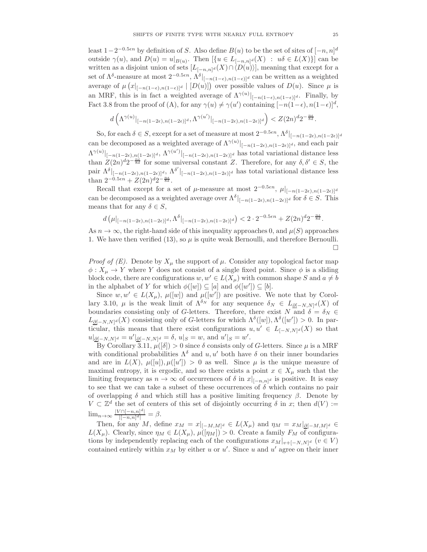least  $1-2^{-0.5\epsilon n}$  by definition of S. Also define  $B(u)$  to be the set of sites of  $[-n, n]^d$ outside  $\gamma(u)$ , and  $D(u) = u|_{B(u)}$ . Then  $\left[\{u \in L_{[-n,n]^d}(X) : u\delta \in L(X)\}\right]$  can be written as a disjoint union of sets  $[L_{[-n,n]^d}(X) \cap \langle D(u)\rangle]$ , meaning that except for a set of  $\Lambda^{\delta}$ -measure at most  $2^{-0.5\epsilon n}$ ,  $\Lambda^{\delta}|_{[-n(1-\epsilon),n(1-\epsilon)]^d}$  can be written as a weighted average of  $\mu(x|_{[-n(1-\epsilon),n(1-\epsilon)]^d} | [D(u)]$  over possible values of  $D(u)$ . Since  $\mu$  is an MRF, this is in fact a weighted average of  $\Lambda^{\gamma(u)}|_{[-n(1-\epsilon),n(1-\epsilon)]^d}$ . Finally, by Fact 3.8 from the proof of (A), for any  $\gamma(u) \neq \gamma(u')$  containing  $[-n(1-\epsilon), n(1-\epsilon)]^d$ ,

$$
d\left(\Lambda^{\gamma(u)}|_{[-n(1-2\epsilon),n(1-2\epsilon)]^d},\Lambda^{\gamma(u')}|_{[-n(1-2\epsilon),n(1-2\epsilon)]^d}\right)
$$

So, for each  $\delta \in S$ , except for a set of measure at most  $2^{-0.5\epsilon n}$ ,  $\Lambda^{\delta}|_{[-n(1-2\epsilon), n(1-2\epsilon)]^d}$ can be decomposed as a weighted average of  $\Lambda^{\gamma(u)}|_{[-n(1-2\epsilon),n(1-2\epsilon)]^d}$ , and each pair  $\Lambda^{\gamma(u)}|_{[-n(1-2\epsilon),n(1-2\epsilon)]^d}, \Lambda^{\gamma(u')}|_{[-n(1-2\epsilon),n(1-2\epsilon)]^d}$  has total variational distance less than  $Z(2n)^d 2^{-\frac{n\epsilon}{8d}}$  for some universal constant Z. Therefore, for any  $\delta, \delta' \in S$ , the pair  $\Lambda^{\delta}|_{[-n(1-2\epsilon),n(1-2\epsilon)]^d}$ ,  $\Lambda^{\delta'}|_{[-n(1-2\epsilon),n(1-2\epsilon)]^d}$  has total variational distance less than  $2^{-0.5\epsilon n} + Z(2n)^{d}2^{-\frac{n\epsilon}{8d}}$ .

Recall that except for a set of  $\mu$ -measure at most  $2^{-0.5\epsilon n}$ ,  $\mu|_{[-n(1-2\epsilon),n(1-2\epsilon)]^d}$ can be decomposed as a weighted average over  $\Lambda^{\delta}|_{[-n(1-2\epsilon),n(1-2\epsilon)]^d}$  for  $\delta \in S$ . This means that for any  $\delta \in S$ ,

$$
d\left(\mu|_{[-n(1-2\epsilon),n(1-2\epsilon)]^d},\Lambda^{\delta}|_{[-n(1-2\epsilon),n(1-2\epsilon)]^d}\right) < 2\cdot 2^{-0.5\epsilon n} + Z(2n)^d 2^{-\frac{n\epsilon}{8d}}.
$$

As  $n \to \infty$ , the right-hand side of this inequality approaches 0, and  $\mu(S)$  approaches 1. We have then verified  $(13)$ , so  $\mu$  is quite weak Bernoulli, and therefore Bernoulli. П

*Proof of (E).* Denote by  $X_\mu$  the support of  $\mu$ . Consider any topological factor map  $\phi: X_{\mu} \to Y$  where Y does not consist of a single fixed point. Since  $\phi$  is a sliding block code, there are configurations  $w, w' \in L(X_\mu)$  with common shape S and  $a \neq b$ in the alphabet of Y for which  $\phi([w]) \subseteq [a]$  and  $\phi([w']) \subseteq [b]$ .

Since  $w, w' \in L(X_\mu)$ ,  $\mu([w'])$  and  $\mu([w'])$  are positive. We note that by Corollary 3.10,  $\mu$  is the weak limit of  $\Lambda^{\delta_N}$  for any sequence  $\delta_N \in L_{\underline{\partial}[-N,N]^d}(X)$  of boundaries consisting only of G-letters. Therefore, there exist N and  $\delta = \delta_N \in$  $L_{\underline{\partial}[-N,N]^d}(X)$  consisting only of G-letters for which  $\Lambda^{\delta}([w])$ ,  $\Lambda^{\delta}([w']) > 0$ . In particular, this means that there exist configurations  $u, u' \in L_{[-N,N]^d}(X)$  so that  $u|_{\underline{\partial}[-N,N]^d} = u'|_{\underline{\partial}[-N,N]^d} = \delta, u|_S = w, \text{ and } u'|_S = w'.$ 

By Corollary 3.11,  $\mu([\delta]) > 0$  since  $\delta$  consists only of G-letters. Since  $\mu$  is a MRF with conditional probabilities  $\Lambda^{\delta}$  and u, u' both have  $\delta$  on their inner boundaries and are in  $L(X)$ ,  $\mu([u]), \mu([u']) > 0$  as well. Since  $\mu$  is the unique measure of maximal entropy, it is ergodic, and so there exists a point  $x \in X_\mu$  such that the limiting frequency as  $n \to \infty$  of occurrences of  $\delta$  in  $x|_{[-n,n]^d}$  is positive. It is easy to see that we can take a subset of these occurrences of  $\delta$  which contains no pair of overlapping  $\delta$  and which still has a positive limiting frequency  $\beta$ . Denote by  $V \subset \mathbb{Z}^d$  the set of centers of this set of disjointly occurring  $\delta$  in x; then  $d(V) :=$  $\lim_{n\to\infty} \frac{|V \cap [-n,n]^d|}{|[-n,n]^d|} = \beta.$ 

Then, for any M, define  $x_M = x|_{[-M,M]^d} \in L(X_\mu)$  and  $\eta_M = x_M|_{\mathcal{Q}[-M,M]^d} \in$  $L(X_\mu)$ . Clearly, since  $\eta_M \in L(X_\mu)$ ,  $\mu([\eta_M]) > 0$ . Create a family  $F_M$  of configurations by independently replacing each of the configurations  $x_M|_{v+[-N,N]^d}$   $(v \in V)$ contained entirely within  $x_M$  by either u or u'. Since u and u' agree on their inner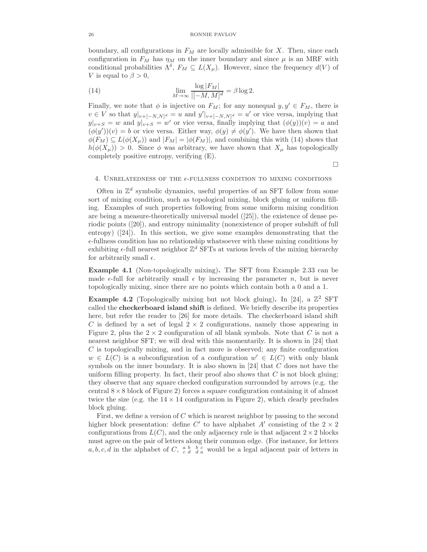### 26 RONNIE PAVLOV

boundary, all configurations in  $F_M$  are locally admissible for X. Then, since each configuration in  $F_M$  has  $\eta_M$  on the inner boundary and since  $\mu$  is an MRF with conditional probabilities  $\Lambda^{\delta}$ ,  $F_M \subseteq L(X_{\mu})$ . However, since the frequency  $d(V)$  of V is equal to  $\beta > 0$ ,

(14) 
$$
\lim_{M \to \infty} \frac{\log |F_M|}{|[-M, M]^d} = \beta \log 2.
$$

Finally, we note that  $\phi$  is injective on  $F_M$ ; for any nonequal  $y, y' \in F_M$ , there is  $v \in V$  so that  $y|_{v+[-N,N]^d} = u$  and  $y'|_{v+[-N,N]^d} = u'$  or vice versa, implying that  $y|_{v+S} = w$  and  $y|_{v+S} = w'$  or vice versa, finally implying that  $(\phi(y))(v) = a$  and  $(\phi(y'))(v) = b$  or vice versa. Either way,  $\phi(y) \neq \phi(y')$ . We have then shown that  $\phi(F_M) \subseteq L(\phi(X_\mu))$  and  $|F_M| = |\phi(F_M)|$ , and combining this with (14) shows that  $h(\phi(X_\mu)) > 0$ . Since  $\phi$  was arbitrary, we have shown that  $X_\mu$  has topologically completely positive entropy, verifying (E).

 $\Box$ 

## 4. UNRELATEDNESS OF THE  $\epsilon$ -FULLNESS CONDITION TO MIXING CONDITIONS

Often in  $\mathbb{Z}^d$  symbolic dynamics, useful properties of an SFT follow from some sort of mixing condition, such as topological mixing, block gluing or uniform filling. Examples of such properties following from some uniform mixing condition are being a measure-theoretically universal model ([25]), the existence of dense periodic points ([20]), and entropy minimality (nonexistence of proper subshift of full entropy) ([24]). In this section, we give some examples demonstrating that the  $\epsilon$ -fullness condition has no relationship whatsoever with these mixing conditions by exhibiting  $\epsilon$ -full nearest neighbor  $\mathbb{Z}^d$  SFTs at various levels of the mixing hierarchy for arbitrarily small  $\epsilon$ .

Example 4.1 (Non-topologically mixing). The SFT from Example 2.33 can be made  $\epsilon$ -full for arbitrarily small  $\epsilon$  by increasing the parameter n, but is never topologically mixing, since there are no points which contain both a 0 and a 1.

**Example 4.2** (Topologically mixing but not block gluing). In [24], a  $\mathbb{Z}^2$  SFT called the checkerboard island shift is defined. We briefly describe its properties here, but refer the reader to [26] for more details. The checkerboard island shift C is defined by a set of legal  $2 \times 2$  configurations, namely those appearing in Figure 2, plus the  $2 \times 2$  configuration of all blank symbols. Note that C is not a nearest neighbor SFT; we will deal with this momentarily. It is shown in [24] that C is topologically mixing, and in fact more is observed; any finite configuration  $w \in L(C)$  is a subconfiguration of a configuration  $w' \in L(C)$  with only blank symbols on the inner boundary. It is also shown in  $[24]$  that C does not have the uniform filling property. In fact, their proof also shows that  $C$  is not block gluing; they observe that any square checked configuration surrounded by arrows (e.g. the central  $8 \times 8$  block of Figure 2) forces a square configuration containing it of almost twice the size (e.g. the  $14 \times 14$  configuration in Figure 2), which clearly precludes block gluing.

First, we define a version of C which is nearest neighbor by passing to the second higher block presentation: define C' to have alphabet A' consisting of the  $2 \times 2$ configurations from  $L(C)$ , and the only adjacency rule is that adjacent  $2 \times 2$  blocks must agree on the pair of letters along their common edge. (For instance, for letters  $a, b, c, d$  in the alphabet of C,  $\frac{a}{c} \frac{b}{d} \frac{c}{d}$  would be a legal adjacent pair of letters in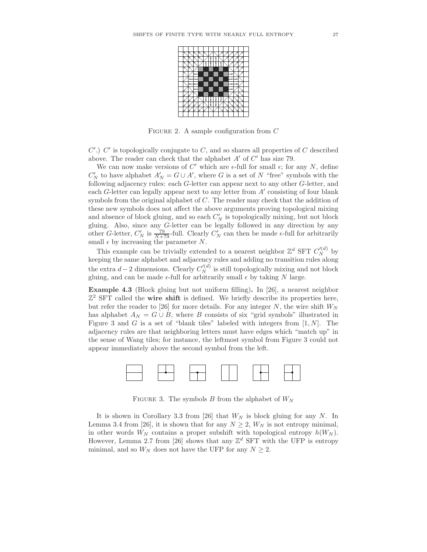

FIGURE 2. A sample configuration from  $C$ 

 $C'$ .)  $C'$  is topologically conjugate to  $C$ , and so shares all properties of  $C$  described above. The reader can check that the alphabet  $A'$  of  $C'$  has size 79.

We can now make versions of C' which are  $\epsilon$ -full for small  $\epsilon$ ; for any N, define  $C'_N$  to have alphabet  $A'_N = G \cup A'$ , where G is a set of N "free" symbols with the following adjacency rules: each G-letter can appear next to any other G-letter, and each  $G$ -letter can legally appear next to any letter from  $A'$  consisting of four blank symbols from the original alphabet of C. The reader may check that the addition of these new symbols does not affect the above arguments proving topological mixing and absence of block gluing, and so each  $C'_N$  is topologically mixing, but not block gluing. Also, since any G-letter can be legally followed in any direction by any other G-letter,  $C'_N$  is  $\frac{79}{N+79}$ -full. Clearly  $C'_N$  can then be made  $\epsilon$ -full for arbitrarily small  $\epsilon$  by increasing the parameter N.

This example can be trivially extended to a nearest neighbor  $\mathbb{Z}^d$  SFT  $C_N'^{(d)}$  by keeping the same alphabet and adjacency rules and adding no transition rules along the extra  $d-2$  dimensions. Clearly  $C_N'^{(d)}$  is still topologically mixing and not block gluing, and can be made  $\epsilon$ -full for arbitrarily small  $\epsilon$  by taking N large.

Example 4.3 (Block gluing but not uniform filling). In [26], a nearest neighbor  $\mathbb{Z}^2$  SFT called the wire shift is defined. We briefly describe its properties here, but refer the reader to [26] for more details. For any integer N, the wire shift  $W_N$ has alphabet  $A_N = G \cup B$ , where B consists of six "grid symbols" illustrated in Figure 3 and G is a set of "blank tiles" labeled with integers from  $[1, N]$ . The adjacency rules are that neighboring letters must have edges which "match up" in the sense of Wang tiles; for instance, the leftmost symbol from Figure 3 could not appear immediately above the second symbol from the left.



FIGURE 3. The symbols  $B$  from the alphabet of  $W_N$ 

It is shown in Corollary 3.3 from [26] that  $W_N$  is block gluing for any N. In Lemma 3.4 from [26], it is shown that for any  $N \ge 2$ ,  $W_N$  is not entropy minimal, in other words  $W_N$  contains a proper subshift with topological entropy  $h(W_N)$ . However, Lemma 2.7 from [26] shows that any  $\mathbb{Z}^d$  SFT with the UFP is entropy minimal, and so  $W_N$  does not have the UFP for any  $N \geq 2$ .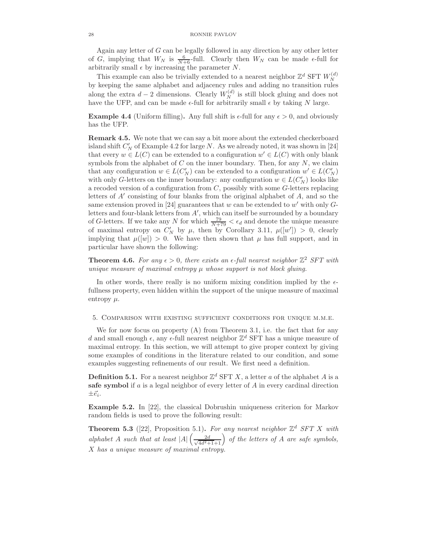Again any letter of  $G$  can be legally followed in any direction by any other letter of G, implying that  $W_N$  is  $\frac{6}{N+6}$ -full. Clearly then  $W_N$  can be made  $\epsilon$ -full for arbitrarily small  $\epsilon$  by increasing the parameter N.

This example can also be trivially extended to a nearest neighbor  $\mathbb{Z}^d$  SFT  $W_N^{(d)}$ N by keeping the same alphabet and adjacency rules and adding no transition rules along the extra  $d-2$  dimensions. Clearly  $W_N^{(d)}$  is still block gluing and does not have the UFP, and can be made  $\epsilon$ -full for arbitrarily small  $\epsilon$  by taking N large.

**Example 4.4** (Uniform filling). Any full shift is  $\epsilon$ -full for any  $\epsilon > 0$ , and obviously has the UFP.

Remark 4.5. We note that we can say a bit more about the extended checkerboard island shift  $C'_N$  of Example 4.2 for large N. As we already noted, it was shown in [24] that every  $w \in L(C)$  can be extended to a configuration  $w' \in L(C)$  with only blank symbols from the alphabet of  $C$  on the inner boundary. Then, for any  $N$ , we claim that any configuration  $w \in L(C'_N)$  can be extended to a configuration  $w' \in L(C'_N)$ with only G-letters on the inner boundary: any configuration  $w \in L(C'_N)$  looks like a recoded version of a configuration from  $C$ , possibly with some  $G$ -letters replacing letters of  $A'$  consisting of four blanks from the original alphabet of  $A$ , and so the same extension proved in [24] guarantees that w can be extended to w' with only  $G$ letters and four-blank letters from  $A'$ , which can itself be surrounded by a boundary of G-letters. If we take any N for which  $\frac{79}{N+79} < \epsilon_d$  and denote the unique measure of maximal entropy on  $C'_N$  by  $\mu$ , then by Corollary 3.11,  $\mu([w']) > 0$ , clearly implying that  $\mu([w]) > 0$ . We have then shown that  $\mu$  has full support, and in particular have shown the following:

**Theorem 4.6.** For any  $\epsilon > 0$ , there exists an  $\epsilon$ -full nearest neighbor  $\mathbb{Z}^2$  SFT with unique measure of maximal entropy  $\mu$  whose support is not block gluing.

In other words, there really is no uniform mixing condition implied by the  $\epsilon$ fullness property, even hidden within the support of the unique measure of maximal entropy  $\mu$ .

5. Comparison with existing sufficient conditions for unique m.m.e.

We for now focus on property (A) from Theorem 3.1, i.e. the fact that for any d and small enough  $\epsilon$ , any  $\epsilon$ -full nearest neighbor  $\mathbb{Z}^d$  SFT has a unique measure of maximal entropy. In this section, we will attempt to give proper context by giving some examples of conditions in the literature related to our condition, and some examples suggesting refinements of our result. We first need a definition.

**Definition 5.1.** For a nearest neighbor  $\mathbb{Z}^d$  SFT X, a letter a of the alphabet A is a safe symbol if  $a$  is a legal neighbor of every letter of  $A$  in every cardinal direction  $\pm \vec{e}_i$ .

Example 5.2. In [22], the classical Dobrushin uniqueness criterion for Markov random fields is used to prove the following result:

**Theorem 5.3** ([22], Proposition 5.1). For any nearest neighbor  $\mathbb{Z}^d$  SFT X with alphabet A such that at least  $|A|\left(\frac{2d}{\sqrt{4d^2+1}+1}\right)$  of the letters of A are safe symbols,  $X$  has a unique measure of maximal entropy.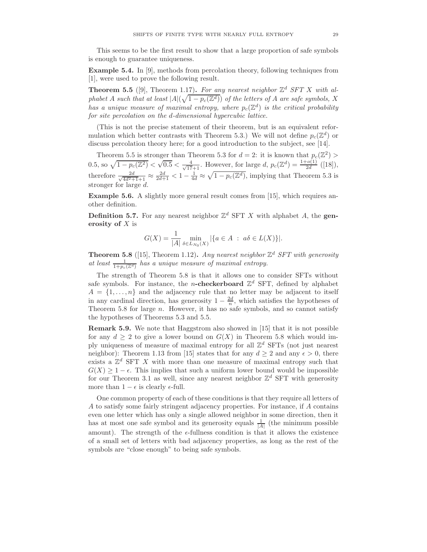This seems to be the first result to show that a large proportion of safe symbols is enough to guarantee uniqueness.

Example 5.4. In [9], methods from percolation theory, following techniques from [1], were used to prove the following result.

**Theorem 5.5** ([9], Theorem 1.17). For any nearest neighbor  $\mathbb{Z}^d$  SFT X with alphabet A such that at least  $|A|(\sqrt{1-p_c(\mathbb{Z}^d)})$  of the letters of A are safe symbols, X has a unique measure of maximal entropy, where  $p_c(\mathbb{Z}^d)$  is the critical probability for site percolation on the d-dimensional hypercubic lattice.

(This is not the precise statement of their theorem, but is an equivalent reformulation which better contrasts with Theorem 5.3.) We will not define  $p_c(\mathbb{Z}^d)$  or discuss percolation theory here; for a good introduction to the subject, see [14].

Theorem 5.5 is stronger than Theorem 5.3 for  $d = 2$ : it is known that  $p_c(\mathbb{Z}^2)$ 0.5, so  $\sqrt{1-p_c(\mathbb{Z}^2)} < \sqrt{0.5} < \frac{4}{\sqrt{17}+1}$ . However, for large d,  $p_c(\mathbb{Z}^d) = \frac{1+o(1)}{2d}([18]),$ therefore  $\frac{2d}{\sqrt{4d^2+1}+1} \approx \frac{2d}{2d+1} < 1 - \frac{1}{4d} \approx \sqrt{1-p_c(\mathbb{Z}^d)}$ , implying that Theorem 5.3 is stronger for large d.

Example 5.6. A slightly more general result comes from [15], which requires another definition.

**Definition 5.7.** For any nearest neighbor  $\mathbb{Z}^d$  SFT X with alphabet A, the generosity of  $X$  is

$$
G(X) = \frac{1}{|A|} \min_{\delta \in L_{N_0}(X)} |\{a \in A : a\delta \in L(X)\}|.
$$

**Theorem 5.8** ([15], Theorem 1.12). Any nearest neighbor  $\mathbb{Z}^d$  SFT with generosity at least  $\frac{1}{1+p_c(\mathbb{Z}^d)}$  has a unique measure of maximal entropy.

The strength of Theorem 5.8 is that it allows one to consider SFTs without safe symbols. For instance, the *n*-checkerboard  $\mathbb{Z}^d$  SFT, defined by alphabet  $A = \{1, \ldots, n\}$  and the adjacency rule that no letter may be adjacent to itself in any cardinal direction, has generosity  $1 - \frac{2d}{n}$ , which satisfies the hypotheses of Theorem 5.8 for large n. However, it has no safe symbols, and so cannot satisfy the hypotheses of Theorems 5.3 and 5.5.

Remark 5.9. We note that Haggstrom also showed in [15] that it is not possible for any  $d \geq 2$  to give a lower bound on  $G(X)$  in Theorem 5.8 which would imply uniqueness of measure of maximal entropy for all  $\mathbb{Z}^d$  SFTs (not just nearest neighbor): Theorem 1.13 from [15] states that for any  $d \geq 2$  and any  $\epsilon > 0$ , there exists a  $\mathbb{Z}^d$  SFT X with more than one measure of maximal entropy such that  $G(X) \geq 1 - \epsilon$ . This implies that such a uniform lower bound would be impossible for our Theorem 3.1 as well, since any nearest neighbor  $\mathbb{Z}^d$  SFT with generosity more than  $1 - \epsilon$  is clearly  $\epsilon$ -full.

One common property of each of these conditions is that they require all letters of A to satisfy some fairly stringent adjacency properties. For instance, if A contains even one letter which has only a single allowed neighbor in some direction, then it has at most one safe symbol and its generosity equals  $\frac{1}{|A|}$  (the minimum possible amount). The strength of the  $\epsilon$ -fullness condition is that it allows the existence of a small set of letters with bad adjacency properties, as long as the rest of the symbols are "close enough" to being safe symbols.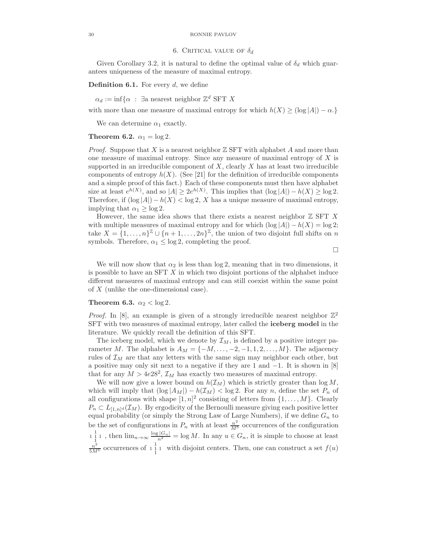#### 30 RONNIE PAVLOV

# 6. CRITICAL VALUE OF  $\delta_d$

Given Corollary 3.2, it is natural to define the optimal value of  $\delta_d$  which guarantees uniqueness of the measure of maximal entropy.

**Definition 6.1.** For every  $d$ , we define

 $\alpha_d := \inf \{ \alpha \; : \; \exists \text{a nearest neighbor } \mathbb{Z}^d \text{ SFT } X \}$ 

with more than one measure of maximal entropy for which  $h(X) \geq (\log |A|) - \alpha$ .}

We can determine  $\alpha_1$  exactly.

# Theorem 6.2.  $\alpha_1 = \log 2$ .

*Proof.* Suppose that X is a nearest neighbor  $\mathbb Z$  SFT with alphabet A and more than one measure of maximal entropy. Since any measure of maximal entropy of  $X$  is supported in an irreducible component of  $X$ , clearly  $X$  has at least two irreducible components of entropy  $h(X)$ . (See [21] for the definition of irreducible components and a simple proof of this fact.) Each of these components must then have alphabet size at least  $e^{h(X)}$ , and so  $|A| \geq 2e^{h(X)}$ . This implies that  $(\log |A|) - h(X) \geq \log 2$ . Therefore, if  $(\log |A|) - h(X) < \log 2$ , X has a unique measure of maximal entropy, implying that  $\alpha_1 \geq \log 2$ .

However, the same idea shows that there exists a nearest neighbor  $\mathbb Z$  SFT X with multiple measures of maximal entropy and for which  $(\log |A|) - h(X) = \log 2$ ; take  $X = \{1, \ldots, n\}^{\mathbb{Z}} \cup \{n+1, \ldots, 2n\}^{\mathbb{Z}}$ , the union of two disjoint full shifts on n symbols. Therefore,  $\alpha_1 \leq \log 2$ , completing the proof.

 $\Box$ 

We will now show that  $\alpha_2$  is less than  $\log 2$ , meaning that in two dimensions, it is possible to have an  $SFT X$  in which two disjoint portions of the alphabet induce different measures of maximal entropy and can still coexist within the same point of X (unlike the one-dimensional case).

## Theorem 6.3.  $\alpha_2 < \log 2$ .

*Proof.* In [8], an example is given of a strongly irreducible nearest neighbor  $\mathbb{Z}^2$ SFT with two measures of maximal entropy, later called the iceberg model in the literature. We quickly recall the definition of this SFT.

The iceberg model, which we denote by  $\mathcal{I}_M$ , is defined by a positive integer parameter M. The alphabet is  $A_M = \{-M, \ldots, -2, -1, 1, 2, \ldots, M\}$ . The adjacency rules of  $\mathcal{I}_M$  are that any letters with the same sign may neighbor each other, but a positive may only sit next to a negative if they are 1 and  $-1$ . It is shown in [8] that for any  $M > 4e28^2$ ,  $\mathcal{I}_M$  has exactly two measures of maximal entropy.

We will now give a lower bound on  $h(\mathcal{I}_M)$  which is strictly greater than  $\log M$ , which will imply that  $(\log |A_M|) - h(\mathcal{I}_M) < \log 2$ . For any n, define the set  $P_n$  of all configurations with shape  $[1, n]^2$  consisting of letters from  $\{1, \ldots, M\}$ . Clearly  $P_n \subset L_{[1,n]^d}(\mathcal{I}_M)$ . By ergodicity of the Bernoulli measure giving each positive letter equal probability (or simply the Strong Law of Large Numbers), if we define  $G_n$  to be the set of configurations in  $P_n$  with at least  $\frac{n^2}{M^5}$  occurrences of the configuration  $\frac{1}{1}$  1, then  $\lim_{n\to\infty} \frac{\log|G_n|}{n^2} = \log M$ . In any  $u \in G_n$ , it is simple to choose at least  $\frac{n^2}{5M^5}$  occurrences of  $1\frac{1}{1}$  i with disjoint centers. Then, one can construct a set  $f(u)$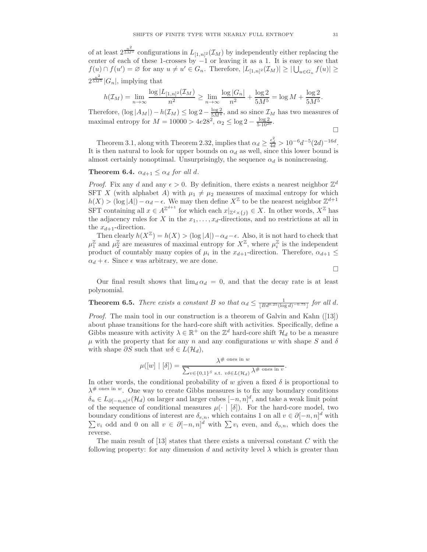of at least  $2^{\frac{n^2}{5M^5}}$  configurations in  $L_{[1,n]^2}(\mathcal{I}_M)$  by independently either replacing the center of each of these 1-crosses by −1 or leaving it as a 1. It is easy to see that  $f(u) \cap f(u') = \varnothing$  for any  $u \neq u' \in G_n$ . Therefore,  $|L_{[1,n]^2}(\mathcal{I}_M)| \geq |\bigcup_{u \in G_n} f(u)| \geq$  $2^{\frac{n^2}{5M^5}}|G_n|$ , implying that

$$
h(\mathcal{I}_M) = \lim_{n \to \infty} \frac{\log |L_{[1,n]^2}(\mathcal{I}_M)}{n^2} \ge \lim_{n \to \infty} \frac{\log |G_n|}{n^2} + \frac{\log 2}{5M^5} = \log M + \frac{\log 2}{5M^5}.
$$

Therefore,  $(\log |A_M|) - h(\mathcal{I}_M) \leq \log 2 - \frac{\log 2}{5M^4}$ , and so since  $\mathcal{I}_M$  has two measures of maximal entropy for  $M = 10000 > 4e^{28^2}$ ,  $\alpha_2 \le \log 2 - \frac{\log 2}{5 \cdot 10^{20}}$ .

$$
\Box
$$

Theorem 3.1, along with Theorem 2.32, implies that  $\alpha_d \geq \frac{\epsilon_d^2}{4d} > 10^{-6} d^{-5} (2d)^{-16d}$ . It is then natural to look for upper bounds on  $\alpha_d$  as well, since this lower bound is almost certainly nonoptimal. Unsurprisingly, the sequence  $\alpha_d$  is nonincreasing.

**Theorem 6.4.**  $\alpha_{d+1} \leq \alpha_d$  for all d.

*Proof.* Fix any d and any  $\epsilon > 0$ . By definition, there exists a nearest neighbor  $\mathbb{Z}^d$ SFT X (with alphabet A) with  $\mu_1 \neq \mu_2$  measures of maximal entropy for which  $h(X) > (\log |A|) - \alpha_d - \epsilon$ . We may then define  $X^{\mathbb{Z}}$  to be the nearest neighbor  $\mathbb{Z}^{d+1}$ SFT containing all  $x \in A^{\mathbb{Z}^{d+1}}$  for which each  $x|_{\mathbb{Z}^d \times \{j\}} \in X$ . In other words,  $X^{\mathbb{Z}}$  has the adjacency rules for X in the  $x_1, \ldots, x_d$ -directions, and no restrictions at all in the  $x_{d+1}$ -direction.

Then clearly  $h(X^{\mathbb{Z}}) = h(X) > (\log |A|) - \alpha_d - \epsilon$ . Also, it is not hard to check that  $\mu_1^{\mathbb{Z}}$  and  $\mu_2^{\mathbb{Z}}$  are measures of maximal entropy for  $X^{\mathbb{Z}}$ , where  $\mu_i^{\mathbb{Z}}$  is the independent product of countably many copies of  $\mu_i$  in the  $x_{d+1}$ -direction. Therefore,  $\alpha_{d+1} \leq$  $\alpha_d + \epsilon$ . Since  $\epsilon$  was arbitrary, we are done.

 $\Box$ 

Our final result shows that  $\lim_{d \alpha_d} = 0$ , and that the decay rate is at least polynomial.

**Theorem 6.5.** There exists a constant B so that  $\alpha_d \leq \frac{1}{\lfloor Bd^{0.25}(\log d)^{-0.75}\rfloor}$  for all d.

Proof. The main tool in our construction is a theorem of Galvin and Kahn ([13]) about phase transitions for the hard-core shift with activities. Specifically, define a Gibbs measure with activity  $\lambda \in \mathbb{R}^+$  on the  $\mathbb{Z}^d$  hard-core shift  $\mathcal{H}_d$  to be a measure  $\mu$  with the property that for any n and any configurations w with shape S and  $\delta$ with shape  $\partial S$  such that  $w\delta \in L(\mathcal{H}_d)$ ,

$$
\mu([w] \mid [\delta]) = \frac{\lambda^{\# \text{ ones in } w}}{\sum_{v \in \{0,1\}^S \text{ s.t. } v\delta \in L(\mathcal{H}_d)} \lambda^{\# \text{ ones in } v}}.
$$

In other words, the conditional probability of w given a fixed  $\delta$  is proportional to  $\lambda^{\#}$  ones in w. One way to create Gibbs measures is to fix any boundary conditions  $\delta_n \in L_{\partial[-n,n]^d}(\mathcal{H}_d)$  on larger and larger cubes  $[-n,n]^d$ , and take a weak limit point of the sequence of conditional measures  $\mu(\cdot | \delta|)$ . For the hard-core model, two boundary conditions of interest are  $\delta_{e,n}$ , which contains 1 on all  $v \in \partial [-n, n]^d$  with  $\sum v_i$  odd and 0 on all  $v \in \partial [-n, n]^d$  with  $\sum v_i$  even, and  $\delta_{o,n}$ , which does the reverse.

The main result of  $[13]$  states that there exists a universal constant  $C$  with the following property: for any dimension d and activity level  $\lambda$  which is greater than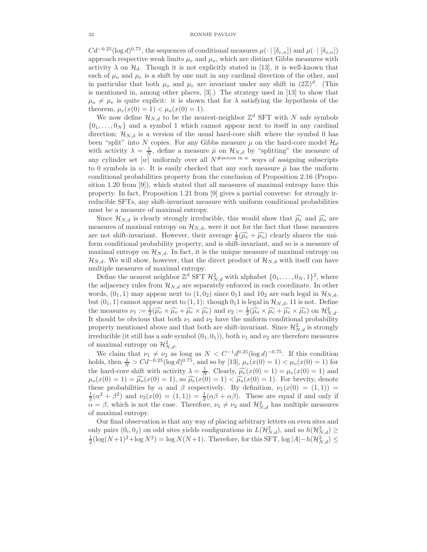$Cd^{-0.25}(\log d)^{0.75}$ , the sequences of conditional measures  $\mu(\cdot | [\delta_{e,n}])$  and  $\mu(\cdot | [\delta_{o,n}])$ approach respective weak limits  $\mu_e$  and  $\mu_o$ , which are distinct Gibbs measures with activity  $\lambda$  on  $\mathcal{H}_d$ . Though it is not explicitly stated in [13], it is well-known that each of  $\mu_o$  and  $\mu_e$  is a shift by one unit in any cardinal direction of the other, and in particular that both  $\mu_o$  and  $\mu_e$  are invariant under any shift in  $(2\mathbb{Z})^d$ . (This is mentioned in, among other places, [3].) The strategy used in [13] to show that  $\mu_o \neq \mu_e$  is quite explicit: it is shown that for  $\lambda$  satisfying the hypothesis of the theorem,  $\mu_e(x(0) = 1) < \mu_o(x(0) = 1)$ .

We now define  $\mathcal{H}_{N,d}$  to be the nearest-neighbor  $\mathbb{Z}^d$  SFT with N safe symbols  $\{0_1, \ldots, 0_N\}$  and a symbol 1 which cannot appear next to itself in any cardinal direction;  $\mathcal{H}_{N,d}$  is a version of the usual hard-core shift where the symbol 0 has been "split" into N copies. For any Gibbs measure  $\mu$  on the hard-core model  $\mathcal{H}_d$ with activity  $\lambda = \frac{1}{N}$ , define a measure  $\hat{\mu}$  on  $\mathcal{H}_{N,d}$  by "splitting" the measure of any cylinder set [w] uniformly over all  $N^{\# \text{zeros in } w}$  ways of assigning subscripts to 0 symbols in w. It is easily checked that any such measure  $\hat{\mu}$  has the uniform conditional probabilities property from the conclusion of Proposition 2.16 (Proposition 1.20 from [9]), which stated that all measures of maximal entropy have this property. In fact, Proposition 1.21 from [9] gives a partial converse: for strongly irreducible SFTs, any shift-invariant measure with uniform conditional probabilities must be a measure of maximal entropy.

Since  $\mathcal{H}_{N,d}$  is clearly strongly irreducible, this would show that  $\widehat{\mu}_e$  and  $\widehat{\mu}_o$  are measures of maximal entropy on  $\mathcal{H}_{N,d}$ , were it not for the fact that these measures are not shift-invariant. However, their average  $\frac{1}{2}(\widehat{\mu}_e + \widehat{\mu}_o)$  clearly shares the uniform conditional probability property, and is shift-invariant, and so is a measure of maximal entropy on  $\mathcal{H}_{N,d}$ . In fact, it is the unique measure of maximal entropy on  $\mathcal{H}_{N,d}$ . We will show, however, that the direct product of  $\mathcal{H}_{N,d}$  with itself can have multiple measures of maximal entropy.

Define the nearest neighbor  $\mathbb{Z}^d$  SFT  $\mathcal{H}_{N,d}^2$  with alphabet  $\{0_1, \ldots, 0_N, 1\}^2$ , where the adjacency rules from  $\mathcal{H}_{N,d}$  are separately enforced in each coordinate. In other words,  $(0_1, 1)$  may appear next to  $(1, 0_2)$  since  $0_1 1$  and  $10_2$  are each legal in  $\mathcal{H}_{N,d}$ , but  $(0_1, 1)$  cannot appear next to  $(1, 1)$ : though  $0_1 1$  is legal in  $\mathcal{H}_{N,d}$ , 11 is not. Define the measures  $\nu_1 := \frac{1}{2} (\widehat{\mu}_0 \times \widehat{\mu}_e + \widehat{\mu}_e \times \widehat{\mu}_e)$  and  $\nu_2 := \frac{1}{2} (\widehat{\mu}_0 \times \widehat{\mu}_e + \widehat{\mu}_e \times \widehat{\mu}_e)$  on  $\mathcal{H}_{N,d}^2$ . It should be obvious that both  $\nu_1$  and  $\nu_2$  have the uniform conditional probability property mentioned above and that both are shift-invariant. Since  $\mathcal{H}_{N,d}^2$  is strongly irreducible (it still has a safe symbol  $(0_1, 0_1)$ ), both  $\nu_1$  and  $\nu_2$  are therefore measures of maximal entropy on  $\mathcal{H}_{N,d}^2$ .

We claim that  $\nu_1 \neq \nu_2$  as long as  $N < C^{-1}d^{0.25}(\log d)^{-0.75}$ . If this condition holds, then  $\frac{1}{N} > C d^{-0.25} (\log d)^{0.75}$ , and so by [13],  $\mu_e(x(0) = 1) < \mu_o(x(0) = 1)$  for the hard-core shift with activity  $\lambda = \frac{1}{N}$ . Clearly,  $\widehat{\mu}_e(x(0) = 1) = \mu_e(x(0) = 1)$  and  $\mu_o(x(0) = 1) = \widehat{\mu_o}(x(0) = 1)$ , so  $\widehat{\mu_e}(x(0) = 1) < \widehat{\mu_o}(x(0) = 1)$ . For brevity, denote these probabilities by  $\alpha$  and  $\beta$  respectively. By definition,  $\nu_1(x(0) = (1, 1)) =$  $\frac{1}{2}(\alpha^2 + \beta^2)$  and  $\nu_2(x(0) = (1, 1)) = \frac{1}{2}(\alpha\beta + \alpha\beta)$ . These are equal if and only if  $\alpha = \beta$ , which is not the case. Therefore,  $\nu_1 \neq \nu_2$  and  $\mathcal{H}_{N,d}^2$  has multiple measures of maximal entropy.

Our final observation is that any way of placing arbitrary letters on even sites and only pairs  $(0_i, 0_j)$  on odd sites yields configurations in  $L(\mathcal{H}_{N,d}^2)$ , and so  $h(\mathcal{H}_{N,d}^2) \ge$  $\frac{1}{2}(\log(N+1)^2 + \log N^2) = \log N(N+1)$ . Therefore, for this SFT,  $\log |A| - h(\mathcal{H}_{N,d}^2) \le$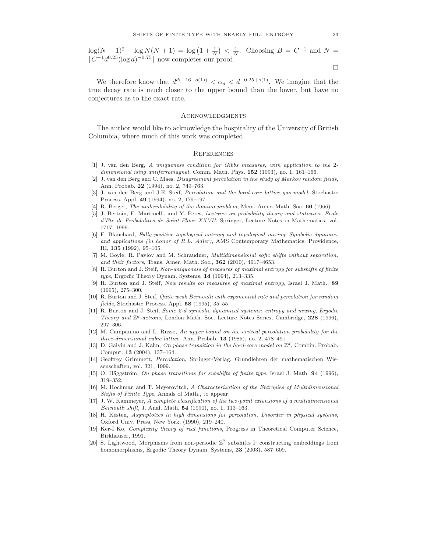$\log(N + 1)^2 - \log N(N + 1) = \log(1 + \frac{1}{N}) < \frac{1}{N}$ . Choosing  $B = C^{-1}$  and  $N =$  $\lfloor C^{-1}d^{0.25}(\log d)^{-0.75}\rfloor$  now completes our proof.

 $\Box$ 

We therefore know that  $d^{d(-16-o(1))} < \alpha_d < d^{-0.25+o(1)}$ . We imagine that the true decay rate is much closer to the upper bound than the lower, but have no conjectures as to the exact rate.

#### **ACKNOWLEDGMENTS**

The author would like to acknowledge the hospitality of the University of British Columbia, where much of this work was completed.

# **REFERENCES**

- [1] J. van den Berg, A uniqueness condition for Gibbs measures, with application to the 2 dimensional ising antiferromagnet, Comm. Math. Phys. 152 (1993), no. 1, 161-166.
- [2] J. van den Berg and C. Maes, Disagreement percolation in the study of Markov random fields, Ann. Probab. 22 (1994), no. 2, 749–763.
- [3] J. van den Berg and J.E. Steif, Percolation and the hard-core lattice gas model, Stochastic Process. Appl. 49 (1994), no. 2, 179–197.
- [4] R. Berger, The undecidability of the domino problem, Mem. Amer. Math. Soc. 66 (1966)
- [5] J. Bertoin, F. Martinelli, and Y. Peres, Lectures on probability theory and statistics: Ecole d'Ete de Probabilites de Saint-Flour XXVII, Springer, Lecture Notes in Mathematics, vol. 1717, 1999.
- [6] F. Blanchard, Fully positive topological entropy and topological mixing, Symbolic dynamics and applications (in honor of R.L. Adler), AMS Contemporary Mathematics, Providence, RI, 135 (1992), 95–105.
- [7] M. Boyle, R. Pavlov and M. Schraudner, Multidimensional sofic shifts without separation, and their factors, Trans. Amer. Math. Soc.,  $362$  (2010), 4617–4653.
- [8] R. Burton and J. Steif, Non-uniqueness of measures of maximal entropy for subshifts of finite  $type$ , Ergodic Theory Dynam. Systems,  $14$  (1994), 213–335.
- [9] R. Burton and J. Steif, New results on measures of maximal entropy, Israel J. Math., 89 (1995), 275–300.
- [10] R. Burton and J. Steif, Quite weak Bernoulli with exponential rate and percolation for random fields, Stochastic Process. Appl. 58 (1995), 35–55.
- [11] R. Burton and J. Steif, Some 2-d symbolic dynamical systems: entropy and mixing, Ergodic Theory and  $\mathbb{Z}^d$ -actions, London Math. Soc. Lecture Notes Series, Cambridge, 228 (1996), 297–306.
- [12] M. Campanino and L. Russo, An upper bound on the critical percolation probability for the three-dimensional cubic lattice, Ann. Probab. 13 (1985), no. 2, 478–491.
- [13] D. Galvin and J. Kahn, On phase transition in the hard-core model on  $\mathbb{Z}^d$ , Combin. Probab. Comput. 13 (2004), 137–164.
- [14] Geoffrey Grimmett, Percolation, Springer-Verlag, Grundlehren der mathematischen Wissenschaften, vol. 321, 1999.
- [15] O. Häggström, On phase transitions for subshifts of finite type, Israel J. Math. 94 (1996), 319–352.
- [16] M. Hochman and T. Meyerovitch, A Characterization of the Entropies of Multidimensional Shifts of Finite Type, Annals of Math., to appear.
- [17] J. W. Kammeyer, A complete classification of the two-point extensions of a multidimensional Bernoulli shift, J. Anal. Math. 54 (1990), no. 1, 113–163.
- [18] H. Kesten, Asymptotics in high dimensions for percolation, Disorder in physical systems, Oxford Univ. Press, New York, (1990), 219–240.
- [19] Ker-I Ko, Complexity theory of real functions, Progress in Theoretical Computer Science, Birkhauser, 1991.
- [20] S. Lightwood, Morphisms from non-periodic  $\mathbb{Z}^2$  subshifts I: constructing embeddings from homomorphisms, Ergodic Theory Dynam. Systems, 23 (2003), 587–609.